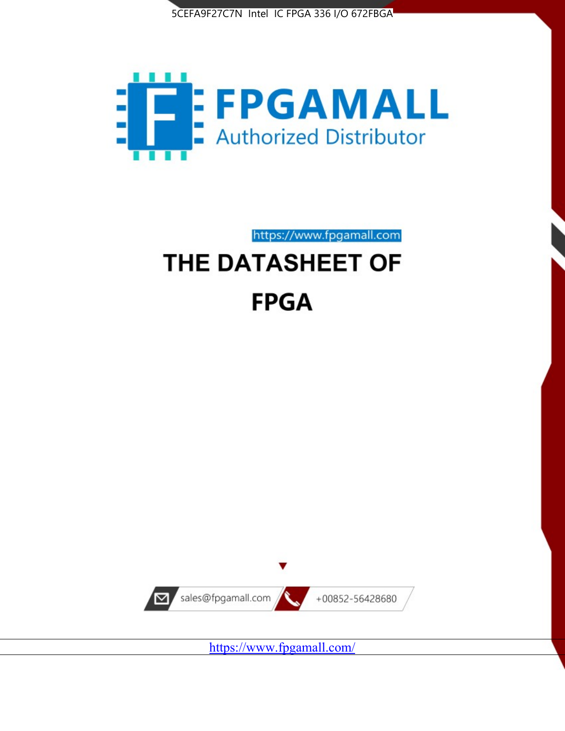



https://www.fpgamall.com

# THE DATASHEET OF **FPGA**



<https://www.fpgamall.com/>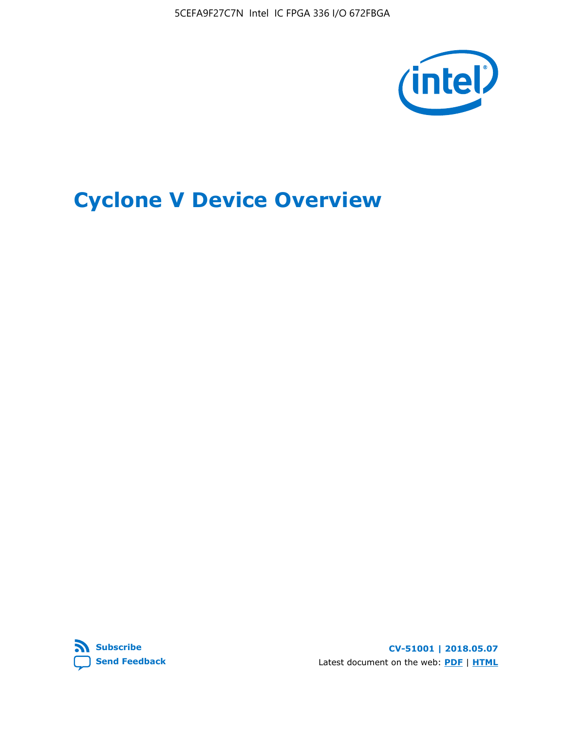5CEFA9F27C7N Intel IC FPGA 336 I/O 672FBGA



# **Cyclone V Device Overview**



**CV-51001 | 2018.05.07** Latest document on the web: **[PDF](https://www.altera.com/en_US/pdfs/literature/hb/cyclone-v/cv_51001.pdf)** | **[HTML](https://www.altera.com/documentation/sam1403480548153.html)**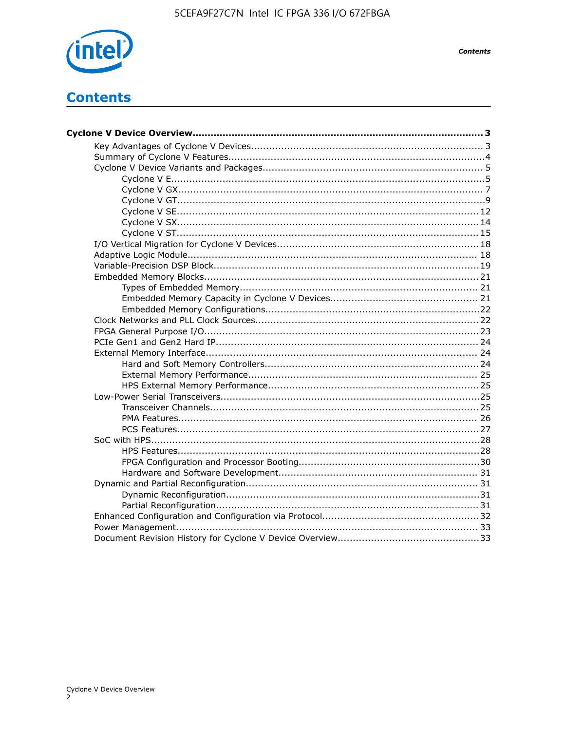

# **Contents**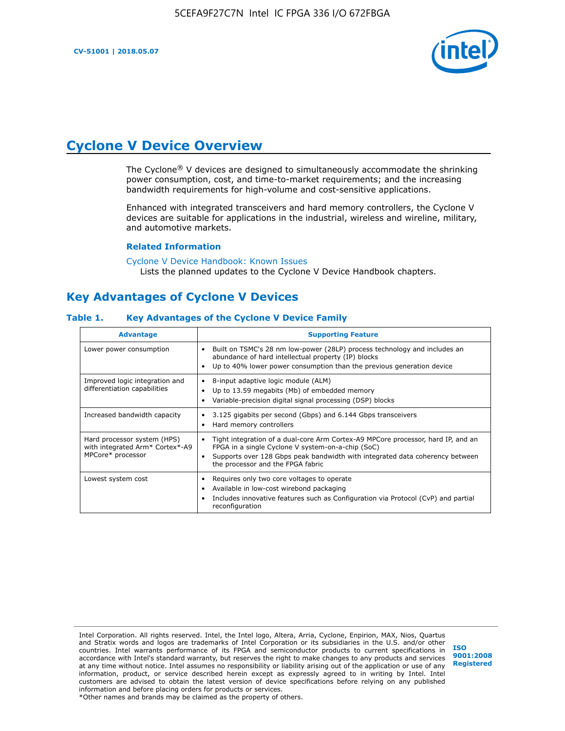

# **Cyclone V Device Overview**

The Cyclone® V devices are designed to simultaneously accommodate the shrinking power consumption, cost, and time-to-market requirements; and the increasing bandwidth requirements for high-volume and cost-sensitive applications.

Enhanced with integrated transceivers and hard memory controllers, the Cyclone V devices are suitable for applications in the industrial, wireless and wireline, military, and automotive markets.

#### **Related Information**

[Cyclone V Device Handbook: Known Issues](https://www.altera.com/support/support-resources/knowledge-base/solutions/rd12152011_347.html) Lists the planned updates to the Cyclone V Device Handbook chapters.

# **Key Advantages of Cyclone V Devices**

#### **Table 1. Key Advantages of the Cyclone V Device Family**

| <b>Advantage</b>                                                                    | <b>Supporting Feature</b>                                                                                                                                                                                                                                                    |
|-------------------------------------------------------------------------------------|------------------------------------------------------------------------------------------------------------------------------------------------------------------------------------------------------------------------------------------------------------------------------|
| Lower power consumption                                                             | Built on TSMC's 28 nm low-power (28LP) process technology and includes an<br>$\bullet$<br>abundance of hard intellectual property (IP) blocks<br>Up to 40% lower power consumption than the previous generation device                                                       |
| Improved logic integration and<br>differentiation capabilities                      | 8-input adaptive logic module (ALM)<br>٠<br>Up to 13.59 megabits (Mb) of embedded memory<br>٠<br>Variable-precision digital signal processing (DSP) blocks                                                                                                                   |
| Increased bandwidth capacity                                                        | 3.125 gigabits per second (Gbps) and 6.144 Gbps transceivers<br>٠<br>Hard memory controllers<br>٠                                                                                                                                                                            |
| Hard processor system (HPS)<br>with integrated Arm* Cortex*-A9<br>MPCore* processor | Tight integration of a dual-core Arm Cortex-A9 MPCore processor, hard IP, and an<br>$\bullet$<br>FPGA in a single Cyclone V system-on-a-chip (SoC)<br>Supports over 128 Gbps peak bandwidth with integrated data coherency between<br>٠<br>the processor and the FPGA fabric |
| Lowest system cost                                                                  | Requires only two core voltages to operate<br>٠<br>Available in low-cost wirebond packaging<br>٠<br>Includes innovative features such as Configuration via Protocol (CvP) and partial<br>٠<br>reconfiguration                                                                |

Intel Corporation. All rights reserved. Intel, the Intel logo, Altera, Arria, Cyclone, Enpirion, MAX, Nios, Quartus and Stratix words and logos are trademarks of Intel Corporation or its subsidiaries in the U.S. and/or other countries. Intel warrants performance of its FPGA and semiconductor products to current specifications in accordance with Intel's standard warranty, but reserves the right to make changes to any products and services at any time without notice. Intel assumes no responsibility or liability arising out of the application or use of any information, product, or service described herein except as expressly agreed to in writing by Intel. Intel customers are advised to obtain the latest version of device specifications before relying on any published information and before placing orders for products or services. \*Other names and brands may be claimed as the property of others.

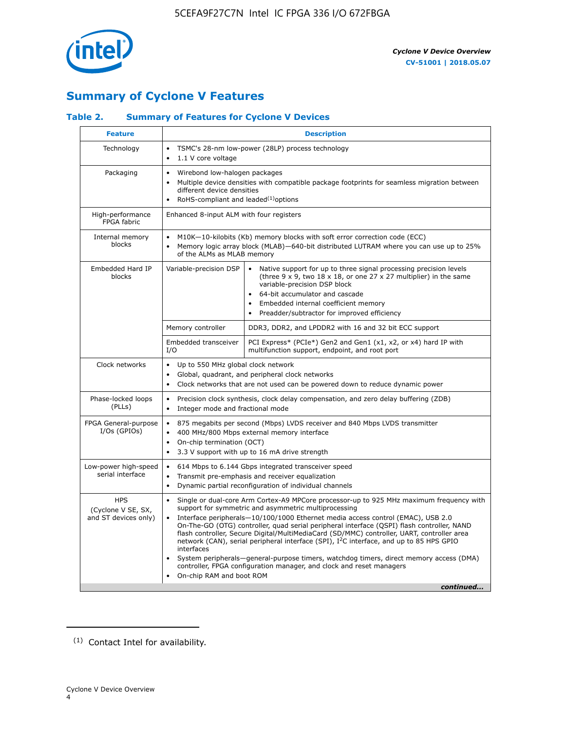

# **Summary of Cyclone V Features**

## **Table 2. Summary of Features for Cyclone V Devices**

| <b>Feature</b>                                           | <b>Description</b>                                                                                                                                                                                                                                                                                                                        |                                                                                                                                                                                                                                                                                                                                                                                                                                                                                                                                                                                                                                                                                                         |  |  |  |  |  |  |
|----------------------------------------------------------|-------------------------------------------------------------------------------------------------------------------------------------------------------------------------------------------------------------------------------------------------------------------------------------------------------------------------------------------|---------------------------------------------------------------------------------------------------------------------------------------------------------------------------------------------------------------------------------------------------------------------------------------------------------------------------------------------------------------------------------------------------------------------------------------------------------------------------------------------------------------------------------------------------------------------------------------------------------------------------------------------------------------------------------------------------------|--|--|--|--|--|--|
| Technology                                               | TSMC's 28-nm low-power (28LP) process technology<br>$\bullet$<br>1.1 V core voltage<br>$\bullet$                                                                                                                                                                                                                                          |                                                                                                                                                                                                                                                                                                                                                                                                                                                                                                                                                                                                                                                                                                         |  |  |  |  |  |  |
| Packaging                                                | $\bullet$                                                                                                                                                                                                                                                                                                                                 | Wirebond low-halogen packages<br>Multiple device densities with compatible package footprints for seamless migration between<br>different device densities<br>RoHS-compliant and leaded $(1)$ options                                                                                                                                                                                                                                                                                                                                                                                                                                                                                                   |  |  |  |  |  |  |
| High-performance<br>FPGA fabric                          | Enhanced 8-input ALM with four registers                                                                                                                                                                                                                                                                                                  |                                                                                                                                                                                                                                                                                                                                                                                                                                                                                                                                                                                                                                                                                                         |  |  |  |  |  |  |
| Internal memory<br>blocks                                | of the ALMs as MLAB memory                                                                                                                                                                                                                                                                                                                | M10K-10-kilobits (Kb) memory blocks with soft error correction code (ECC)<br>Memory logic array block (MLAB)-640-bit distributed LUTRAM where you can use up to 25%                                                                                                                                                                                                                                                                                                                                                                                                                                                                                                                                     |  |  |  |  |  |  |
| Embedded Hard IP<br>blocks                               | Variable-precision DSP<br>Native support for up to three signal processing precision levels<br>(three $9 \times 9$ , two $18 \times 18$ , or one 27 x 27 multiplier) in the same<br>variable-precision DSP block<br>64-bit accumulator and cascade<br>Embedded internal coefficient memory<br>Preadder/subtractor for improved efficiency |                                                                                                                                                                                                                                                                                                                                                                                                                                                                                                                                                                                                                                                                                                         |  |  |  |  |  |  |
|                                                          | Memory controller                                                                                                                                                                                                                                                                                                                         | DDR3, DDR2, and LPDDR2 with 16 and 32 bit ECC support                                                                                                                                                                                                                                                                                                                                                                                                                                                                                                                                                                                                                                                   |  |  |  |  |  |  |
|                                                          | Embedded transceiver<br>I/O                                                                                                                                                                                                                                                                                                               | PCI Express* (PCIe*) Gen2 and Gen1 (x1, x2, or x4) hard IP with<br>multifunction support, endpoint, and root port                                                                                                                                                                                                                                                                                                                                                                                                                                                                                                                                                                                       |  |  |  |  |  |  |
| Clock networks                                           | Up to 550 MHz global clock network<br>$\bullet$<br>$\bullet$                                                                                                                                                                                                                                                                              | Global, quadrant, and peripheral clock networks<br>Clock networks that are not used can be powered down to reduce dynamic power                                                                                                                                                                                                                                                                                                                                                                                                                                                                                                                                                                         |  |  |  |  |  |  |
| Phase-locked loops<br>(PLLs)                             | $\bullet$<br>Integer mode and fractional mode<br>$\bullet$                                                                                                                                                                                                                                                                                | Precision clock synthesis, clock delay compensation, and zero delay buffering (ZDB)                                                                                                                                                                                                                                                                                                                                                                                                                                                                                                                                                                                                                     |  |  |  |  |  |  |
| FPGA General-purpose<br>$I/Os$ (GPIOs)                   | $\bullet$<br>$\bullet$<br>On-chip termination (OCT)<br>$\bullet$                                                                                                                                                                                                                                                                          | 875 megabits per second (Mbps) LVDS receiver and 840 Mbps LVDS transmitter<br>400 MHz/800 Mbps external memory interface<br>3.3 V support with up to 16 mA drive strength                                                                                                                                                                                                                                                                                                                                                                                                                                                                                                                               |  |  |  |  |  |  |
| Low-power high-speed<br>serial interface                 | 614 Mbps to 6.144 Gbps integrated transceiver speed<br>$\bullet$<br>Transmit pre-emphasis and receiver equalization<br>$\bullet$<br>Dynamic partial reconfiguration of individual channels<br>$\bullet$                                                                                                                                   |                                                                                                                                                                                                                                                                                                                                                                                                                                                                                                                                                                                                                                                                                                         |  |  |  |  |  |  |
| <b>HPS</b><br>(Cyclone V SE, SX,<br>and ST devices only) | $\bullet$<br>$\bullet$<br>interfaces<br>On-chip RAM and boot ROM                                                                                                                                                                                                                                                                          | Single or dual-core Arm Cortex-A9 MPCore processor-up to 925 MHz maximum frequency with<br>support for symmetric and asymmetric multiprocessing<br>Interface peripherals-10/100/1000 Ethernet media access control (EMAC), USB 2.0<br>On-The-GO (OTG) controller, quad serial peripheral interface (QSPI) flash controller, NAND<br>flash controller, Secure Digital/MultiMediaCard (SD/MMC) controller, UART, controller area<br>network (CAN), serial peripheral interface (SPI), I <sup>2</sup> C interface, and up to 85 HPS GPIO<br>System peripherals—general-purpose timers, watchdog timers, direct memory access (DMA)<br>controller, FPGA configuration manager, and clock and reset managers |  |  |  |  |  |  |
|                                                          |                                                                                                                                                                                                                                                                                                                                           | continued                                                                                                                                                                                                                                                                                                                                                                                                                                                                                                                                                                                                                                                                                               |  |  |  |  |  |  |

<sup>(1)</sup> Contact Intel for availability.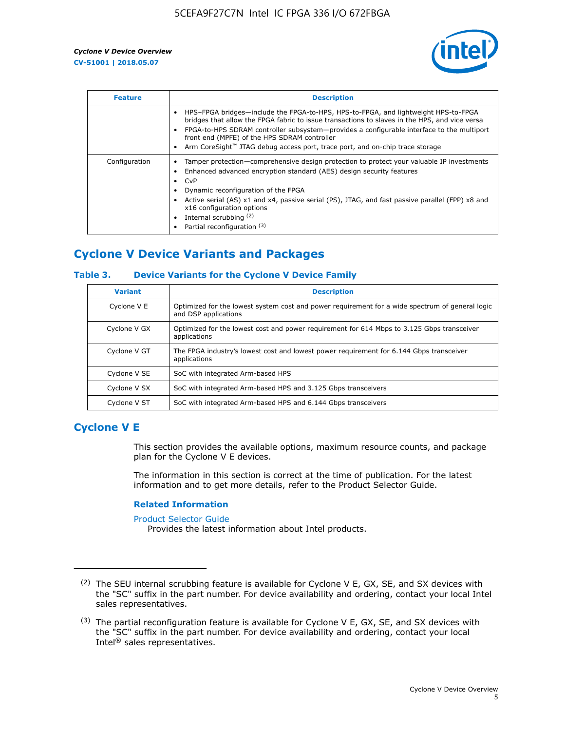

| <b>Feature</b> | <b>Description</b>                                                                                                                                                                                                                                                                                                                                                                                                           |
|----------------|------------------------------------------------------------------------------------------------------------------------------------------------------------------------------------------------------------------------------------------------------------------------------------------------------------------------------------------------------------------------------------------------------------------------------|
|                | HPS-FPGA bridges—include the FPGA-to-HPS, HPS-to-FPGA, and lightweight HPS-to-FPGA<br>bridges that allow the FPGA fabric to issue transactions to slaves in the HPS, and vice versa<br>FPGA-to-HPS SDRAM controller subsystem—provides a configurable interface to the multiport<br>front end (MPFE) of the HPS SDRAM controller<br>Arm CoreSight <sup>™</sup> JTAG debug access port, trace port, and on-chip trace storage |
| Configuration  | Tamper protection—comprehensive design protection to protect your valuable IP investments<br>Enhanced advanced encryption standard (AES) design security features<br>CvP<br>$\bullet$<br>Dynamic reconfiguration of the FPGA<br>Active serial (AS) x1 and x4, passive serial (PS), JTAG, and fast passive parallel (FPP) x8 and<br>x16 configuration options<br>Internal scrubbing (2)<br>Partial reconfiguration (3)        |

# **Cyclone V Device Variants and Packages**

#### **Table 3. Device Variants for the Cyclone V Device Family**

| <b>Variant</b> | <b>Description</b>                                                                                                      |
|----------------|-------------------------------------------------------------------------------------------------------------------------|
| Cyclone V E    | Optimized for the lowest system cost and power requirement for a wide spectrum of general logic<br>and DSP applications |
| Cyclone V GX   | Optimized for the lowest cost and power requirement for 614 Mbps to 3.125 Gbps transceiver<br>applications              |
| Cyclone V GT   | The FPGA industry's lowest cost and lowest power requirement for 6.144 Gbps transceiver<br>applications                 |
| Cyclone V SE   | SoC with integrated Arm-based HPS                                                                                       |
| Cyclone V SX   | SoC with integrated Arm-based HPS and 3.125 Gbps transceivers                                                           |
| Cyclone V ST   | SoC with integrated Arm-based HPS and 6.144 Gbps transceivers                                                           |

## **Cyclone V E**

This section provides the available options, maximum resource counts, and package plan for the Cyclone V E devices.

The information in this section is correct at the time of publication. For the latest information and to get more details, refer to the Product Selector Guide.

#### **Related Information**

[Product Selector Guide](https://www.altera.com/products/product-selector-guide.html)

Provides the latest information about Intel products.

<sup>(2)</sup> The SEU internal scrubbing feature is available for Cyclone V E, GX, SE, and SX devices with the "SC" suffix in the part number. For device availability and ordering, contact your local Intel sales representatives.

 $(3)$  The partial reconfiguration feature is available for Cyclone V E, GX, SE, and SX devices with the "SC" suffix in the part number. For device availability and ordering, contact your local Intel® sales representatives.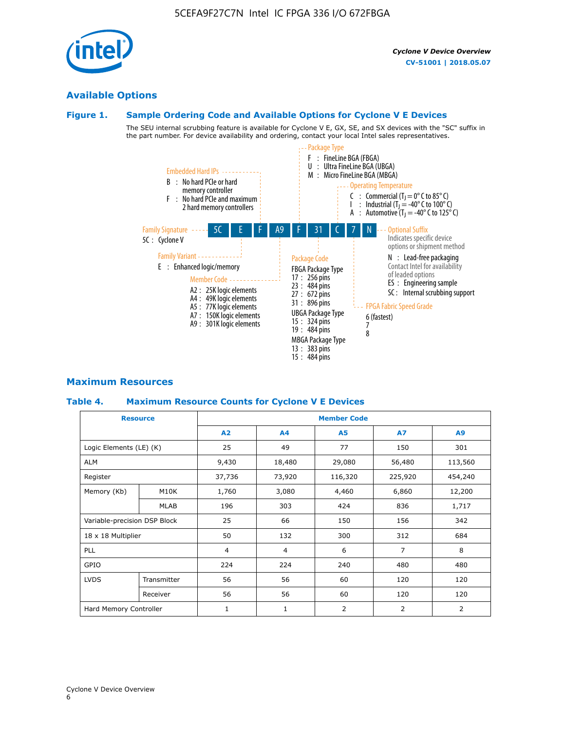# **Available Options**

#### **Figure 1. Sample Ordering Code and Available Options for Cyclone V E Devices**

The SEU internal scrubbing feature is available for Cyclone V E, GX, SE, and SX devices with the "SC" suffix in the part number. For device availability and ordering, contact your local Intel sales representatives.



## **Maximum Resources**

#### **Table 4. Maximum Resource Counts for Cyclone V E Devices**

|                              | <b>Resource</b> | <b>Member Code</b> |                |           |                |         |  |  |
|------------------------------|-----------------|--------------------|----------------|-----------|----------------|---------|--|--|
|                              |                 | A2                 | A4             | <b>A5</b> | <b>A7</b>      | A9      |  |  |
| Logic Elements (LE) (K)      |                 | 25                 | 49             | 77        | 150            | 301     |  |  |
| <b>ALM</b>                   |                 | 9,430              | 18,480         | 29,080    | 56,480         | 113,560 |  |  |
| Register                     |                 |                    | 73,920         | 116,320   | 225,920        | 454,240 |  |  |
| Memory (Kb)                  | M10K            | 1,760              | 3,080          | 4,460     | 6,860          | 12,200  |  |  |
|                              | <b>MLAB</b>     | 196                | 303            | 424       | 836            | 1,717   |  |  |
| Variable-precision DSP Block |                 | 25                 | 66             | 150       | 156            | 342     |  |  |
| 18 x 18 Multiplier           |                 | 50                 | 132            | 300       | 312            | 684     |  |  |
| PLL                          |                 | $\overline{4}$     | $\overline{4}$ | 6         | $\overline{7}$ | 8       |  |  |
| GPIO                         |                 | 224                | 224            | 240       | 480            | 480     |  |  |
| <b>LVDS</b>                  | Transmitter     | 56                 | 56             | 60        | 120            | 120     |  |  |
|                              | Receiver        | 56                 | 56             | 60        | 120            | 120     |  |  |
| Hard Memory Controller       |                 | $\mathbf{1}$       | 1              | 2         | $\overline{2}$ | 2       |  |  |

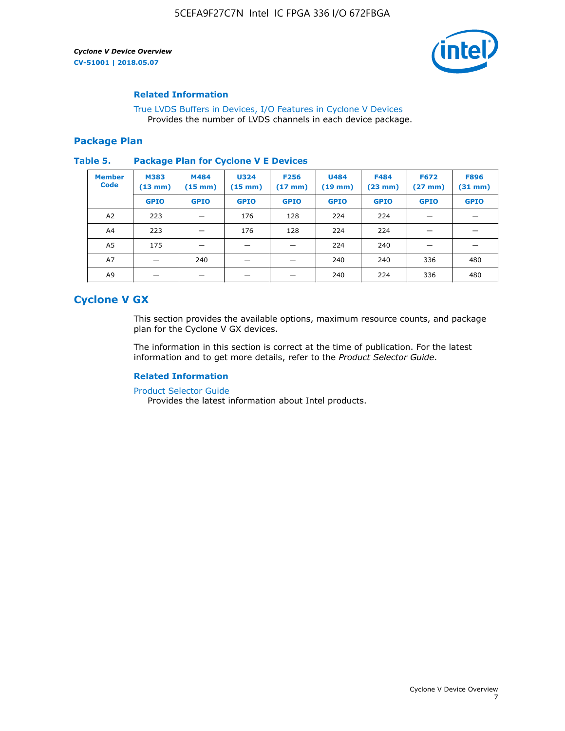

#### **Related Information**

[True LVDS Buffers in Devices, I/O Features in Cyclone V Devices](https://www.altera.com/documentation/sam1403481100977.html#sam1403480885395) Provides the number of LVDS channels in each device package.

#### **Package Plan**

#### **Table 5. Package Plan for Cyclone V E Devices**

| <b>Member</b><br><b>Code</b> | <b>M383</b><br>$(13 \text{ mm})$ | M484<br>$(15 \text{ mm})$ | <b>U324</b><br>$(15 \text{ mm})$ | <b>F256</b><br>$(17 \text{ mm})$ | <b>U484</b><br>$(19$ mm) | <b>F484</b><br>$(23$ mm $)$ | <b>F672</b><br>$(27 \text{ mm})$ | <b>F896</b><br>$(31 \text{ mm})$ |
|------------------------------|----------------------------------|---------------------------|----------------------------------|----------------------------------|--------------------------|-----------------------------|----------------------------------|----------------------------------|
|                              | <b>GPIO</b>                      | <b>GPIO</b>               | <b>GPIO</b>                      | <b>GPIO</b>                      | <b>GPIO</b>              | <b>GPIO</b>                 | <b>GPIO</b>                      | <b>GPIO</b>                      |
| A <sub>2</sub>               | 223                              |                           | 176                              | 128                              | 224                      | 224                         |                                  |                                  |
| A4                           | 223                              |                           | 176                              | 128                              | 224                      | 224                         | –                                |                                  |
| A <sub>5</sub>               | 175                              |                           |                                  |                                  | 224                      | 240                         |                                  |                                  |
| A7                           |                                  | 240                       |                                  |                                  | 240                      | 240                         | 336                              | 480                              |
| A9                           |                                  |                           |                                  |                                  | 240                      | 224                         | 336                              | 480                              |

# **Cyclone V GX**

This section provides the available options, maximum resource counts, and package plan for the Cyclone V GX devices.

The information in this section is correct at the time of publication. For the latest information and to get more details, refer to the *Product Selector Guide*.

#### **Related Information**

[Product Selector Guide](https://www.altera.com/products/product-selector-guide.html)

Provides the latest information about Intel products.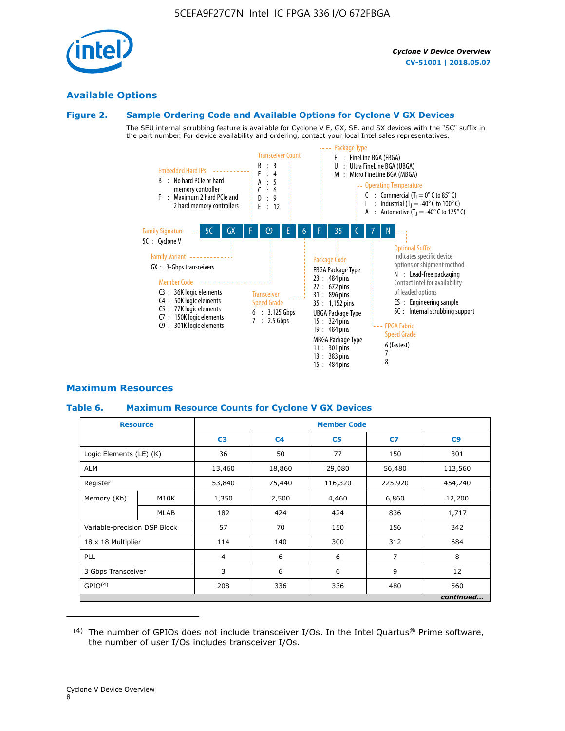

# **Available Options**

## **Figure 2. Sample Ordering Code and Available Options for Cyclone V GX Devices**

The SEU internal scrubbing feature is available for Cyclone V E, GX, SE, and SX devices with the "SC" suffix in the part number. For device availability and ordering, contact your local Intel sales representatives.



# **Maximum Resources**

## **Table 6. Maximum Resource Counts for Cyclone V GX Devices**

|                              | <b>Resource</b> | <b>Member Code</b> |                |                |         |           |   |   |
|------------------------------|-----------------|--------------------|----------------|----------------|---------|-----------|---|---|
|                              |                 | C <sub>3</sub>     | C <sub>4</sub> | C <sub>5</sub> | C7      | C9        |   |   |
| Logic Elements (LE) (K)      |                 | 36                 | 50             | 77             | 150     | 301       |   |   |
| <b>ALM</b>                   |                 | 13,460             | 18,860         | 29,080         | 56,480  | 113,560   |   |   |
| Register                     |                 | 53,840             | 75,440         | 116,320        | 225,920 | 454,240   |   |   |
| Memory (Kb)                  | M10K            | 1,350              | 2,500          | 4,460          | 6,860   | 12,200    |   |   |
|                              | <b>MLAB</b>     | 182                | 424            | 424            | 836     | 1,717     |   |   |
| Variable-precision DSP Block |                 | 57                 | 70             | 150            | 156     | 342       |   |   |
| 18 x 18 Multiplier           |                 | 114                | 140            | 300            | 312     | 684       |   |   |
| <b>PLL</b>                   |                 |                    |                |                | 6       | 6         | 7 | 8 |
| 3 Gbps Transceiver           |                 | 3                  | 6              | 6              | 9       | 12        |   |   |
| GPIO <sup>(4)</sup>          |                 | 208                | 336            | 336            | 480     | 560       |   |   |
|                              |                 |                    |                |                |         | continued |   |   |

 $(4)$  The number of GPIOs does not include transceiver I/Os. In the Intel Quartus® Prime software, the number of user I/Os includes transceiver I/Os.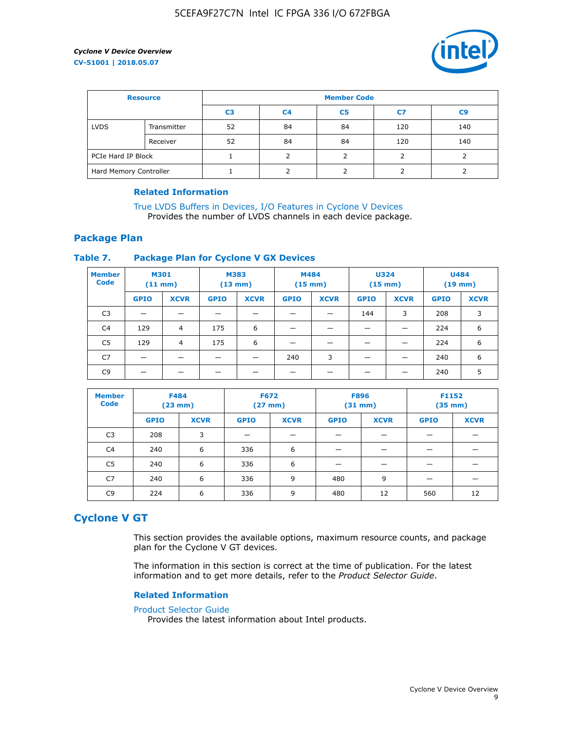

| <b>Resource</b>        |             | <b>Member Code</b> |                |                |     |                |  |  |
|------------------------|-------------|--------------------|----------------|----------------|-----|----------------|--|--|
|                        |             | C <sub>3</sub>     | C <sub>4</sub> | C <sub>5</sub> | C7  | C <sub>9</sub> |  |  |
| <b>LVDS</b>            | Transmitter | 52                 | 84             | 84             | 120 | 140            |  |  |
|                        | Receiver    | 52                 | 84             | 84             | 120 | 140            |  |  |
| PCIe Hard IP Block     |             |                    |                |                |     |                |  |  |
| Hard Memory Controller |             |                    | h              |                |     |                |  |  |

#### **Related Information**

[True LVDS Buffers in Devices, I/O Features in Cyclone V Devices](https://www.altera.com/documentation/sam1403481100977.html#sam1403480885395) Provides the number of LVDS channels in each device package.

### **Package Plan**

#### **Table 7. Package Plan for Cyclone V GX Devices**

| <b>Member</b><br><b>Code</b> | <b>M301</b><br>$(11$ mm) |                | <b>M383</b><br>$(13 \text{ mm})$ |             | M484        | $(15 \text{ mm})$ | <b>U324</b><br>$(15 \text{ mm})$ |             | <b>U484</b><br>$(19$ mm) |             |
|------------------------------|--------------------------|----------------|----------------------------------|-------------|-------------|-------------------|----------------------------------|-------------|--------------------------|-------------|
|                              | <b>GPIO</b>              | <b>XCVR</b>    | <b>GPIO</b>                      | <b>XCVR</b> | <b>GPIO</b> | <b>XCVR</b>       | <b>GPIO</b>                      | <b>XCVR</b> | <b>GPIO</b>              | <b>XCVR</b> |
| C <sub>3</sub>               |                          |                |                                  |             |             |                   | 144                              | 3           | 208                      | 3           |
| C <sub>4</sub>               | 129                      | $\overline{4}$ | 175                              | 6           |             |                   | –                                |             | 224                      | 6           |
| C5                           | 129                      | 4              | 175                              | 6           |             |                   |                                  |             | 224                      | 6           |
| C7                           | _                        |                |                                  |             | 240         | 3                 |                                  |             | 240                      | 6           |
| C9                           |                          |                |                                  |             |             |                   |                                  |             | 240                      | 5           |

| <b>Member</b><br><b>Code</b> | <b>F484</b> | $(23$ mm)   | <b>F672</b> | $(27$ mm $)$ | <b>F896</b><br>$(31 \text{ mm})$ |             | F1152<br>$(35 \text{ mm})$ |             |
|------------------------------|-------------|-------------|-------------|--------------|----------------------------------|-------------|----------------------------|-------------|
|                              | <b>GPIO</b> | <b>XCVR</b> | <b>GPIO</b> | <b>XCVR</b>  | <b>GPIO</b>                      | <b>XCVR</b> | <b>GPIO</b>                | <b>XCVR</b> |
| C <sub>3</sub>               | 208         | 3           |             |              |                                  |             |                            |             |
| C4                           | 240         | 6           | 336         | 6            |                                  |             |                            |             |
| C5                           | 240         | 6           | 336         | 6            |                                  |             |                            |             |
| C7                           | 240         | 6           | 336         | 9            | 480                              | 9           |                            |             |
| C9                           | 224         | 6           | 336         | 9            | 480                              | 12          | 560                        | 12          |

## **Cyclone V GT**

This section provides the available options, maximum resource counts, and package plan for the Cyclone V GT devices.

The information in this section is correct at the time of publication. For the latest information and to get more details, refer to the *Product Selector Guide*.

#### **Related Information**

#### [Product Selector Guide](https://www.altera.com/products/product-selector-guide.html)

Provides the latest information about Intel products.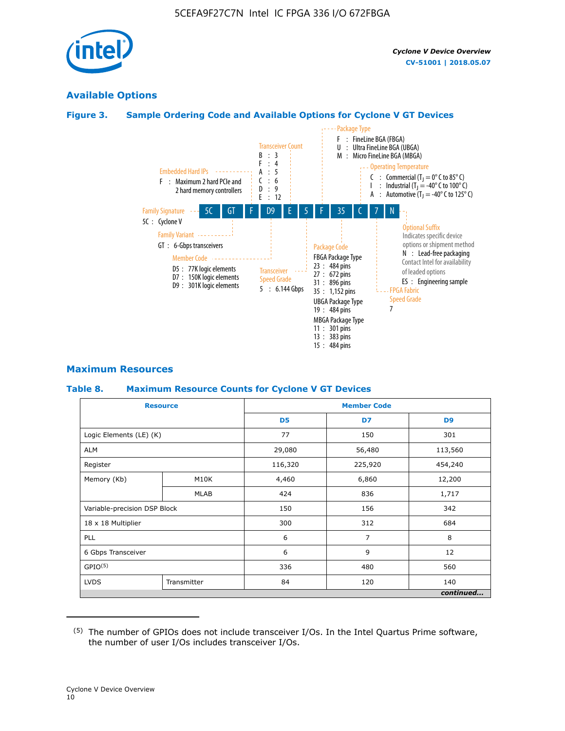

# **Available Options**

# **Figure 3. Sample Ordering Code and Available Options for Cyclone V GT Devices**



### **Maximum Resources**

#### **Table 8. Maximum Resource Counts for Cyclone V GT Devices**

|                              | <b>Resource</b> | <b>Member Code</b> |         |                |  |  |
|------------------------------|-----------------|--------------------|---------|----------------|--|--|
|                              |                 | D <sub>5</sub>     | D7      | D <sub>9</sub> |  |  |
| Logic Elements (LE) (K)      |                 | 77                 | 150     | 301            |  |  |
| <b>ALM</b>                   |                 | 29,080             | 56,480  | 113,560        |  |  |
| Register                     |                 | 116,320            | 225,920 | 454,240        |  |  |
| Memory (Kb)                  | M10K            | 4,460              | 6,860   | 12,200         |  |  |
|                              | <b>MLAB</b>     | 424                | 836     | 1,717          |  |  |
| Variable-precision DSP Block |                 | 150                | 156     | 342            |  |  |
| 18 x 18 Multiplier           |                 | 300                | 312     | 684            |  |  |
| PLL                          |                 | 6                  | 7       | 8              |  |  |
| 6 Gbps Transceiver           |                 | 6                  | 9       | 12             |  |  |
| GPIO <sup>(5)</sup>          |                 | 336                | 480     | 560            |  |  |
| <b>LVDS</b>                  | Transmitter     | 84                 | 120     | 140            |  |  |
|                              |                 |                    |         | continued      |  |  |

<sup>(5)</sup> The number of GPIOs does not include transceiver I/Os. In the Intel Quartus Prime software, the number of user I/Os includes transceiver I/Os.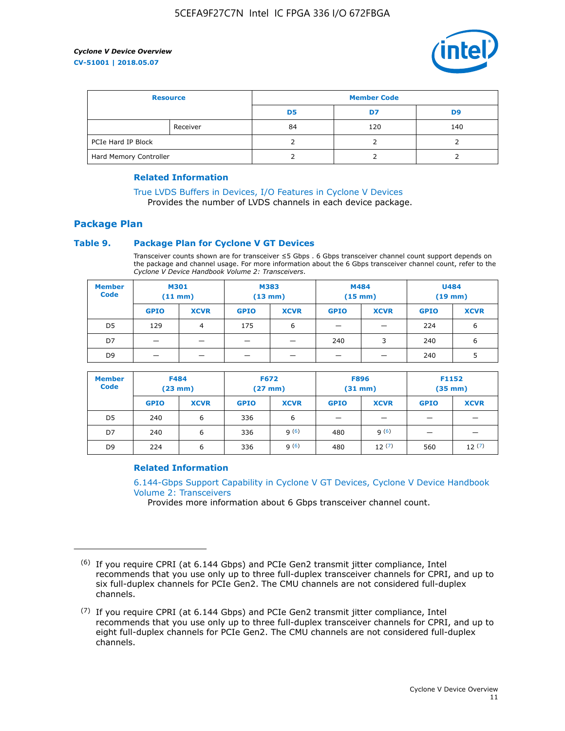

| <b>Resource</b>        |          | <b>Member Code</b> |     |     |  |  |
|------------------------|----------|--------------------|-----|-----|--|--|
|                        |          | D5                 | D7  | D9  |  |  |
|                        | Receiver | 84                 | 120 | 140 |  |  |
| PCIe Hard IP Block     |          |                    |     |     |  |  |
| Hard Memory Controller |          |                    |     |     |  |  |

#### **Related Information**

[True LVDS Buffers in Devices, I/O Features in Cyclone V Devices](https://www.altera.com/documentation/sam1403481100977.html#sam1403480885395) Provides the number of LVDS channels in each device package.

# **Package Plan**

#### **Table 9. Package Plan for Cyclone V GT Devices**

Transceiver counts shown are for transceiver ≤5 Gbps . 6 Gbps transceiver channel count support depends on the package and channel usage. For more information about the 6 Gbps transceiver channel count, refer to the *Cyclone V Device Handbook Volume 2: Transceivers*.

| <b>Member</b><br><b>Code</b> | <b>M301</b><br>(11 mm) |             | M383<br>(13 mm) |             | M484<br>$(15 \text{ mm})$ |             | <b>U484</b><br>$(19$ mm) |             |
|------------------------------|------------------------|-------------|-----------------|-------------|---------------------------|-------------|--------------------------|-------------|
|                              | <b>GPIO</b>            | <b>XCVR</b> | <b>GPIO</b>     | <b>XCVR</b> | <b>GPIO</b>               | <b>XCVR</b> | <b>GPIO</b>              | <b>XCVR</b> |
| D5                           | 129                    | 4           | 175             | 6           | -                         |             | 224                      | 6           |
| D7                           |                        |             |                 |             | 240                       | 3           | 240                      | 6           |
| D <sub>9</sub>               | -                      |             |                 |             | _                         |             | 240                      | 5           |

| <b>Member</b><br><b>Code</b> | <b>F484</b><br>$(23 \text{ mm})$ |             | <b>F672</b><br>$(27 \text{ mm})$ |             | <b>F896</b><br>$(31$ mm $)$ |             | F1152<br>$(35$ mm $)$ |             |
|------------------------------|----------------------------------|-------------|----------------------------------|-------------|-----------------------------|-------------|-----------------------|-------------|
|                              | <b>GPIO</b>                      | <b>XCVR</b> | <b>GPIO</b>                      | <b>XCVR</b> | <b>GPIO</b>                 | <b>XCVR</b> | <b>GPIO</b>           | <b>XCVR</b> |
| D <sub>5</sub>               | 240                              | 6           | 336                              | 6           | -                           |             |                       |             |
| D7                           | 240                              | 6           | 336                              | q(6)        | 480                         | q(6)        | -                     | _           |
| D <sub>9</sub>               | 224                              | 6           | 336                              | q(6)        | 480                         | 12(7)       | 560                   | 12(7)       |

#### **Related Information**

[6.144-Gbps Support Capability in Cyclone V GT Devices, Cyclone V Device Handbook](https://www.altera.com/documentation/nik1409855456781.html#nik1409855410757) [Volume 2: Transceivers](https://www.altera.com/documentation/nik1409855456781.html#nik1409855410757)

Provides more information about 6 Gbps transceiver channel count.

<sup>(6)</sup> If you require CPRI (at 6.144 Gbps) and PCIe Gen2 transmit jitter compliance, Intel recommends that you use only up to three full-duplex transceiver channels for CPRI, and up to six full-duplex channels for PCIe Gen2. The CMU channels are not considered full-duplex channels.

 $(7)$  If you require CPRI (at 6.144 Gbps) and PCIe Gen2 transmit jitter compliance, Intel recommends that you use only up to three full-duplex transceiver channels for CPRI, and up to eight full-duplex channels for PCIe Gen2. The CMU channels are not considered full-duplex channels.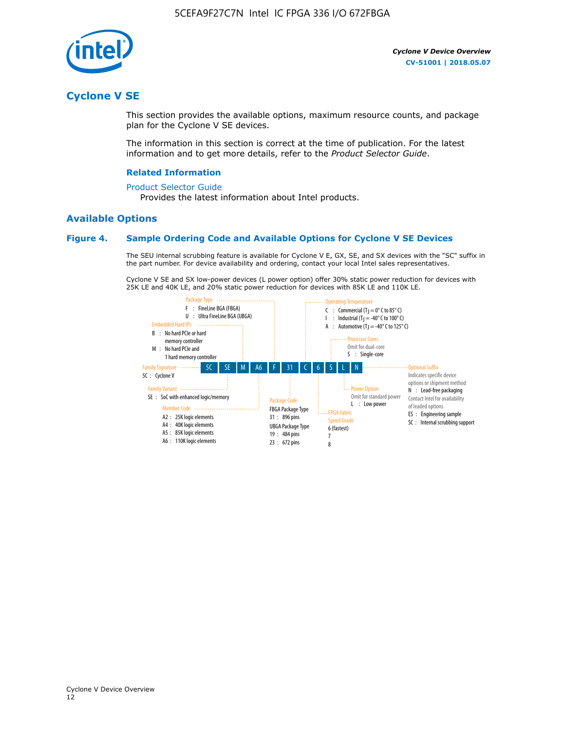

## **Cyclone V SE**

This section provides the available options, maximum resource counts, and package plan for the Cyclone V SE devices.

The information in this section is correct at the time of publication. For the latest information and to get more details, refer to the *Product Selector Guide*.

#### **Related Information**

#### [Product Selector Guide](https://www.altera.com/products/product-selector-guide.html)

Provides the latest information about Intel products.

#### **Available Options**

#### **Figure 4. Sample Ordering Code and Available Options for Cyclone V SE Devices**

The SEU internal scrubbing feature is available for Cyclone V E, GX, SE, and SX devices with the "SC" suffix in the part number. For device availability and ordering, contact your local Intel sales representatives.

Cyclone V SE and SX low-power devices (L power option) offer 30% static power reduction for devices with 25K LE and 40K LE, and 20% static power reduction for devices with 85K LE and 110K LE.

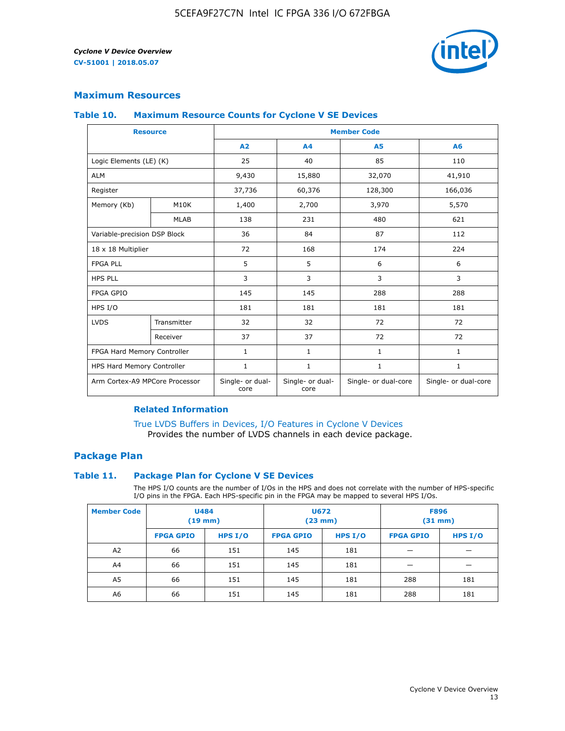

## **Maximum Resources**

#### **Table 10. Maximum Resource Counts for Cyclone V SE Devices**

|                                | <b>Resource</b> | <b>Member Code</b>       |                          |                      |                      |  |
|--------------------------------|-----------------|--------------------------|--------------------------|----------------------|----------------------|--|
|                                |                 | A <sub>2</sub>           | A <sub>4</sub>           | <b>A5</b>            | A6                   |  |
| Logic Elements (LE) (K)        |                 | 25                       | 40                       | 85                   | 110                  |  |
| <b>ALM</b>                     |                 | 9,430                    | 15,880                   | 32,070               | 41,910               |  |
| Register                       |                 | 37,736                   | 60,376                   | 128,300              | 166,036              |  |
| Memory (Kb)                    | M10K            | 1,400                    | 2,700                    | 3,970                | 5,570                |  |
|                                | <b>MLAB</b>     | 138                      | 231                      | 480                  | 621                  |  |
| Variable-precision DSP Block   |                 | 36                       | 84                       | 87                   | 112                  |  |
| 18 x 18 Multiplier             |                 | 72                       | 168                      | 174                  | 224                  |  |
| <b>FPGA PLL</b>                |                 | 5                        | 5                        | 6                    | 6                    |  |
| <b>HPS PLL</b>                 |                 | 3                        | 3                        | 3                    | 3                    |  |
| <b>FPGA GPIO</b>               |                 | 145                      | 145                      | 288                  | 288                  |  |
| HPS I/O                        |                 | 181                      | 181                      | 181                  | 181                  |  |
| <b>LVDS</b>                    | Transmitter     | 32                       | 32                       | 72                   | 72                   |  |
|                                | Receiver        | 37                       | 37                       | 72                   | 72                   |  |
| FPGA Hard Memory Controller    |                 | 1                        | $\mathbf{1}$             | $\mathbf{1}$         | $\mathbf{1}$         |  |
| HPS Hard Memory Controller     |                 | $\mathbf{1}$             | $\mathbf{1}$             | $\mathbf{1}$         | $\mathbf{1}$         |  |
| Arm Cortex-A9 MPCore Processor |                 | Single- or dual-<br>core | Single- or dual-<br>core | Single- or dual-core | Single- or dual-core |  |

#### **Related Information**

[True LVDS Buffers in Devices, I/O Features in Cyclone V Devices](https://www.altera.com/documentation/sam1403481100977.html#sam1403480885395) Provides the number of LVDS channels in each device package.

## **Package Plan**

#### **Table 11. Package Plan for Cyclone V SE Devices**

The HPS I/O counts are the number of I/Os in the HPS and does not correlate with the number of HPS-specific I/O pins in the FPGA. Each HPS-specific pin in the FPGA may be mapped to several HPS I/Os.

| <b>Member Code</b> | <b>U484</b><br>$(19$ mm) |           | <b>U672</b><br>(23 mm) |           | <b>F896</b><br>$(31$ mm $)$ |           |
|--------------------|--------------------------|-----------|------------------------|-----------|-----------------------------|-----------|
|                    | <b>FPGA GPIO</b>         | HPS $I/O$ | <b>FPGA GPIO</b>       | HPS $I/O$ | <b>FPGA GPIO</b>            | HPS $I/O$ |
| A <sub>2</sub>     | 66                       | 151       | 145                    | 181       |                             |           |
| A4                 | 66                       | 151       | 145                    | 181       |                             |           |
| A <sub>5</sub>     | 66                       | 151       | 145                    | 181       | 288                         | 181       |
| A6                 | 66                       | 151       | 145                    | 181       | 288                         | 181       |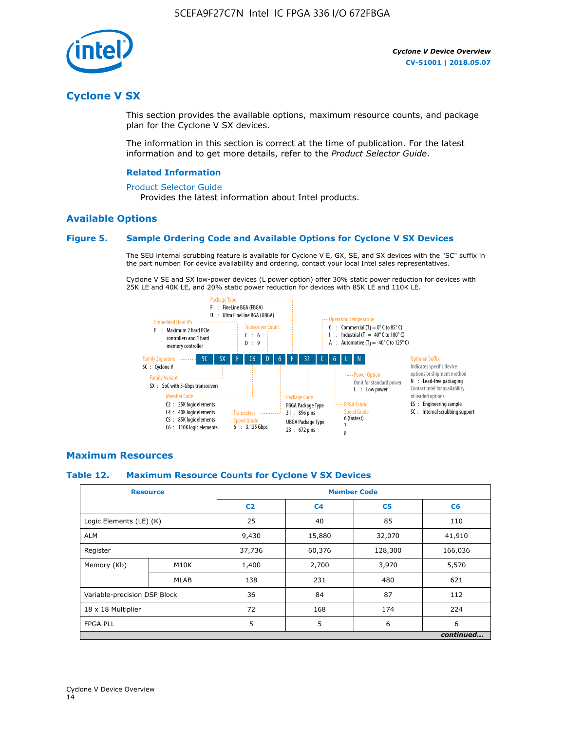

## **Cyclone V SX**

This section provides the available options, maximum resource counts, and package plan for the Cyclone V SX devices.

The information in this section is correct at the time of publication. For the latest information and to get more details, refer to the *Product Selector Guide*.

#### **Related Information**

#### [Product Selector Guide](https://www.altera.com/products/product-selector-guide.html)

Provides the latest information about Intel products.

### **Available Options**

#### **Figure 5. Sample Ordering Code and Available Options for Cyclone V SX Devices**

The SEU internal scrubbing feature is available for Cyclone V E, GX, SE, and SX devices with the "SC" suffix in the part number. For device availability and ordering, contact your local Intel sales representatives.

Cyclone V SE and SX low-power devices (L power option) offer 30% static power reduction for devices with 25K LE and 40K LE, and 20% static power reduction for devices with 85K LE and 110K LE.



#### **Maximum Resources**

#### **Table 12. Maximum Resource Counts for Cyclone V SX Devices**

|                              | <b>Resource</b> | <b>Member Code</b> |                |                |           |  |
|------------------------------|-----------------|--------------------|----------------|----------------|-----------|--|
|                              |                 | C <sub>2</sub>     | C <sub>4</sub> | C <sub>5</sub> | C6        |  |
| Logic Elements (LE) (K)      |                 | 25                 | 40             | 85             | 110       |  |
| <b>ALM</b>                   |                 | 9,430              | 15,880         | 32,070         | 41,910    |  |
| Register                     |                 | 37,736             | 60,376         | 128,300        | 166,036   |  |
| Memory (Kb)                  | M10K            | 1,400              | 2,700          | 3,970          | 5,570     |  |
|                              | <b>MLAB</b>     | 138                | 231            | 480            | 621       |  |
| Variable-precision DSP Block |                 | 36                 | 84             | 87             | 112       |  |
| 18 x 18 Multiplier           |                 | 72                 | 168            | 174            | 224       |  |
| <b>FPGA PLL</b>              |                 | 5                  | 5              | 6              | 6         |  |
|                              |                 |                    |                |                | continued |  |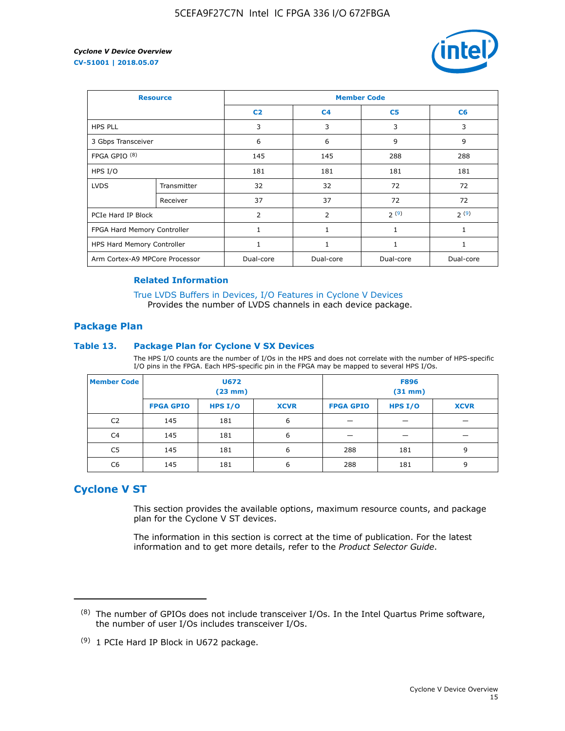

| <b>Resource</b>                |             | <b>Member Code</b> |                |                |           |  |  |
|--------------------------------|-------------|--------------------|----------------|----------------|-----------|--|--|
|                                |             | C <sub>2</sub>     | C <sub>4</sub> | C <sub>5</sub> | C6        |  |  |
| <b>HPS PLL</b>                 |             | 3                  | 3              | 3              | 3         |  |  |
| 3 Gbps Transceiver             |             | 6                  | 6              | 9              | 9         |  |  |
| FPGA GPIO $(8)$                |             | 145                | 145            | 288            | 288       |  |  |
| HPS I/O                        |             | 181                | 181            | 181            | 181       |  |  |
| <b>LVDS</b>                    | Transmitter | 32                 | 32             | 72             | 72        |  |  |
|                                | Receiver    | 37                 | 37             | 72             | 72        |  |  |
| PCIe Hard IP Block             |             | $\overline{2}$     | $\overline{2}$ | 2(9)           | 2(9)      |  |  |
| FPGA Hard Memory Controller    |             | 1                  | $\mathbf{1}$   | 1              | 1         |  |  |
| HPS Hard Memory Controller     |             | 1                  | 1              | $\mathbf{1}$   | 1         |  |  |
| Arm Cortex-A9 MPCore Processor |             | Dual-core          | Dual-core      | Dual-core      | Dual-core |  |  |

#### **Related Information**

[True LVDS Buffers in Devices, I/O Features in Cyclone V Devices](https://www.altera.com/documentation/sam1403481100977.html#sam1403480885395) Provides the number of LVDS channels in each device package.

#### **Package Plan**

#### **Table 13. Package Plan for Cyclone V SX Devices**

The HPS I/O counts are the number of I/Os in the HPS and does not correlate with the number of HPS-specific I/O pins in the FPGA. Each HPS-specific pin in the FPGA may be mapped to several HPS I/Os.

| <b>Member Code</b> | U672<br>(23 mm)  |           | <b>F896</b><br>$(31$ mm $)$ |                  |           |             |
|--------------------|------------------|-----------|-----------------------------|------------------|-----------|-------------|
|                    | <b>FPGA GPIO</b> | HPS $I/O$ | <b>XCVR</b>                 | <b>FPGA GPIO</b> | HPS $I/O$ | <b>XCVR</b> |
| C <sub>2</sub>     | 145              | 181       | 6                           |                  |           |             |
| C <sub>4</sub>     | 145              | 181       | 6                           |                  |           |             |
| C5                 | 145              | 181       | 6                           | 288              | 181       | 9           |
| C6                 | 145              | 181       | 6                           | 288              | 181       | 9           |

## **Cyclone V ST**

This section provides the available options, maximum resource counts, and package plan for the Cyclone V ST devices.

The information in this section is correct at the time of publication. For the latest information and to get more details, refer to the *Product Selector Guide*.

 $(8)$  The number of GPIOs does not include transceiver I/Os. In the Intel Quartus Prime software, the number of user I/Os includes transceiver I/Os.

<sup>(9)</sup> 1 PCIe Hard IP Block in U672 package.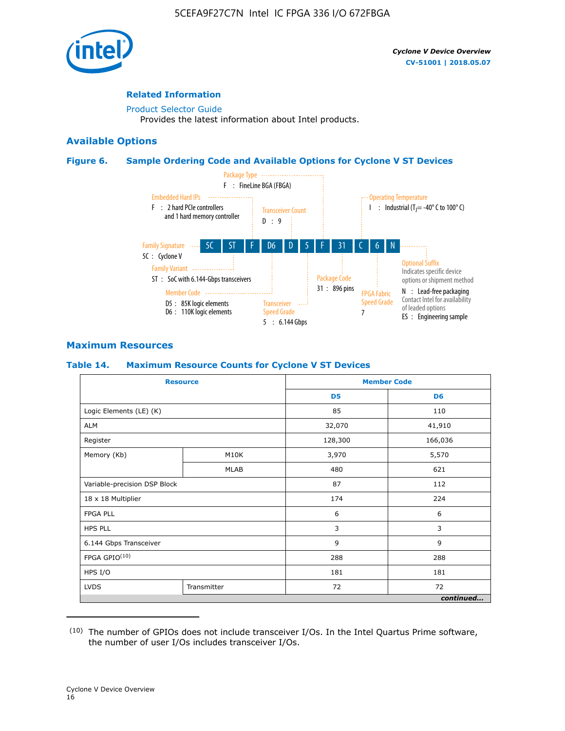

#### **Related Information**

[Product Selector Guide](https://www.altera.com/products/product-selector-guide.html) Provides the latest information about Intel products.

#### **Available Options**

#### **Figure 6. Sample Ordering Code and Available Options for Cyclone V ST Devices**



## **Maximum Resources**

#### **Table 14. Maximum Resource Counts for Cyclone V ST Devices**

| <b>Resource</b>              |             |                | <b>Member Code</b> |
|------------------------------|-------------|----------------|--------------------|
|                              |             | D <sub>5</sub> | D <sub>6</sub>     |
| Logic Elements (LE) (K)      |             | 85             | 110                |
| <b>ALM</b>                   |             | 32,070         | 41,910             |
| Register                     |             | 128,300        | 166,036            |
| Memory (Kb)                  | M10K        | 3,970          | 5,570              |
|                              | <b>MLAB</b> | 480            | 621                |
| Variable-precision DSP Block |             | 87             | 112                |
| 18 x 18 Multiplier           |             | 174            | 224                |
| <b>FPGA PLL</b>              |             | 6              | 6                  |
| <b>HPS PLL</b>               |             | 3              | 3                  |
| 6.144 Gbps Transceiver       |             | 9              | 9                  |
| FPGA GPIO(10)                |             | 288            | 288                |
| HPS I/O                      |             | 181            | 181                |
| <b>LVDS</b>                  | Transmitter | 72             | 72                 |
|                              |             |                | continued          |

<sup>(10)</sup> The number of GPIOs does not include transceiver I/Os. In the Intel Quartus Prime software, the number of user I/Os includes transceiver I/Os.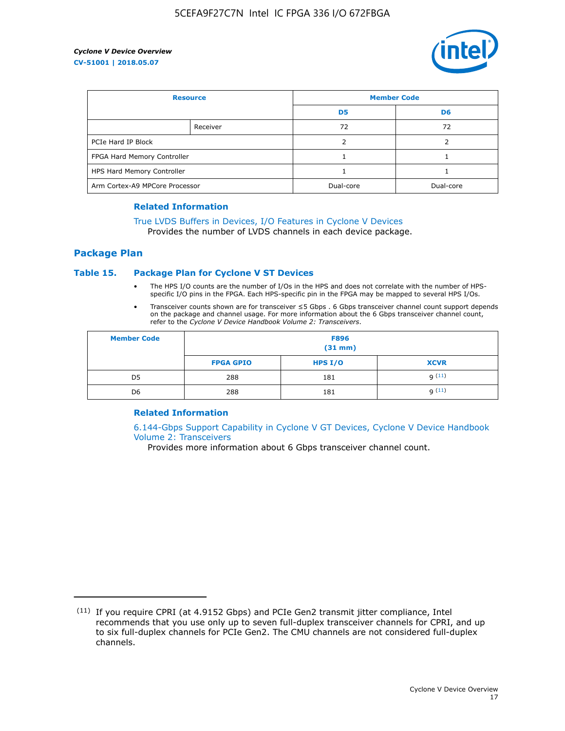

| <b>Resource</b>                |          | <b>Member Code</b> |                |  |
|--------------------------------|----------|--------------------|----------------|--|
|                                |          | D <sub>5</sub>     | D <sub>6</sub> |  |
|                                | Receiver | 72                 | 72             |  |
| PCIe Hard IP Block             |          |                    |                |  |
| FPGA Hard Memory Controller    |          |                    |                |  |
| HPS Hard Memory Controller     |          |                    |                |  |
| Arm Cortex-A9 MPCore Processor |          | Dual-core          | Dual-core      |  |

#### **Related Information**

# [True LVDS Buffers in Devices, I/O Features in Cyclone V Devices](https://www.altera.com/documentation/sam1403481100977.html#sam1403480885395)

Provides the number of LVDS channels in each device package.

#### **Package Plan**

#### **Table 15. Package Plan for Cyclone V ST Devices**

- The HPS I/O counts are the number of I/Os in the HPS and does not correlate with the number of HPSspecific I/O pins in the FPGA. Each HPS-specific pin in the FPGA may be mapped to several HPS I/Os.
- Transceiver counts shown are for transceiver ≤5 Gbps . 6 Gbps transceiver channel count support depends on the package and channel usage. For more information about the 6 Gbps transceiver channel count, refer to the *Cyclone V Device Handbook Volume 2: Transceivers*.

| <b>Member Code</b> | <b>F896</b><br>$(31$ mm $)$ |           |             |  |  |
|--------------------|-----------------------------|-----------|-------------|--|--|
|                    | <b>FPGA GPIO</b>            | HPS $I/O$ | <b>XCVR</b> |  |  |
| D <sub>5</sub>     | 288                         | 181       | 9(11)       |  |  |
| D <sub>6</sub>     | 288                         | 181       | q(11)       |  |  |

#### **Related Information**

[6.144-Gbps Support Capability in Cyclone V GT Devices, Cyclone V Device Handbook](https://www.altera.com/documentation/nik1409855456781.html#nik1409855410757) [Volume 2: Transceivers](https://www.altera.com/documentation/nik1409855456781.html#nik1409855410757)

Provides more information about 6 Gbps transceiver channel count.

<sup>(11)</sup> If you require CPRI (at 4.9152 Gbps) and PCIe Gen2 transmit jitter compliance, Intel recommends that you use only up to seven full-duplex transceiver channels for CPRI, and up to six full-duplex channels for PCIe Gen2. The CMU channels are not considered full-duplex channels.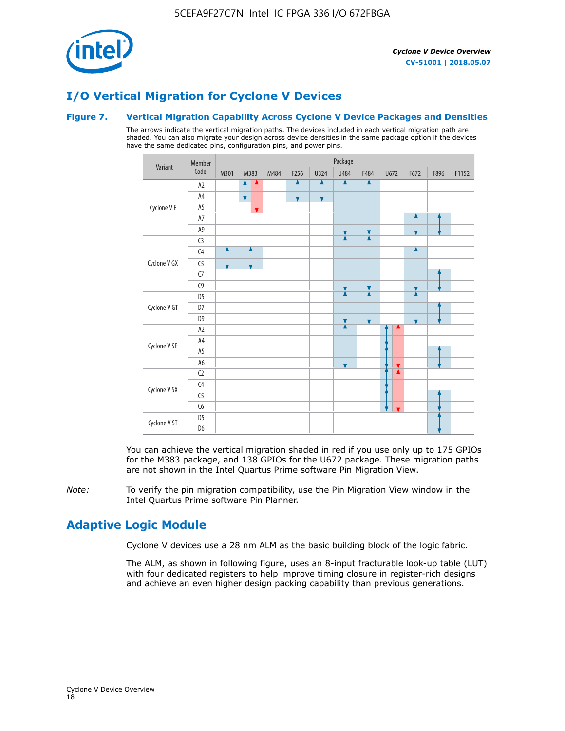

# **I/O Vertical Migration for Cyclone V Devices**

#### **Figure 7. Vertical Migration Capability Across Cyclone V Device Packages and Densities**

The arrows indicate the vertical migration paths. The devices included in each vertical migration path are shaded. You can also migrate your design across device densities in the same package option if the devices have the same dedicated pins, configuration pins, and power pins.



You can achieve the vertical migration shaded in red if you use only up to 175 GPIOs for the M383 package, and 138 GPIOs for the U672 package. These migration paths are not shown in the Intel Quartus Prime software Pin Migration View.

*Note:* To verify the pin migration compatibility, use the Pin Migration View window in the Intel Quartus Prime software Pin Planner.

# **Adaptive Logic Module**

Cyclone V devices use a 28 nm ALM as the basic building block of the logic fabric.

The ALM, as shown in following figure, uses an 8-input fracturable look-up table (LUT) with four dedicated registers to help improve timing closure in register-rich designs and achieve an even higher design packing capability than previous generations.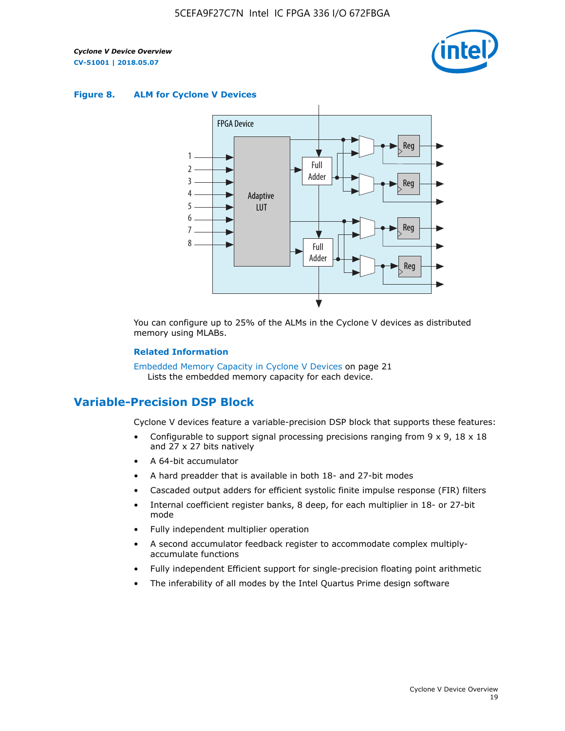

#### **Figure 8. ALM for Cyclone V Devices**



You can configure up to 25% of the ALMs in the Cyclone V devices as distributed memory using MLABs.

#### **Related Information**

Embedded Memory Capacity in Cyclone V Devices on page 21 Lists the embedded memory capacity for each device.

# **Variable-Precision DSP Block**

Cyclone V devices feature a variable-precision DSP block that supports these features:

- Configurable to support signal processing precisions ranging from  $9 \times 9$ ,  $18 \times 18$ and 27 x 27 bits natively
- A 64-bit accumulator
- A hard preadder that is available in both 18- and 27-bit modes
- Cascaded output adders for efficient systolic finite impulse response (FIR) filters
- Internal coefficient register banks, 8 deep, for each multiplier in 18- or 27-bit mode
- Fully independent multiplier operation
- A second accumulator feedback register to accommodate complex multiplyaccumulate functions
- Fully independent Efficient support for single-precision floating point arithmetic
- The inferability of all modes by the Intel Quartus Prime design software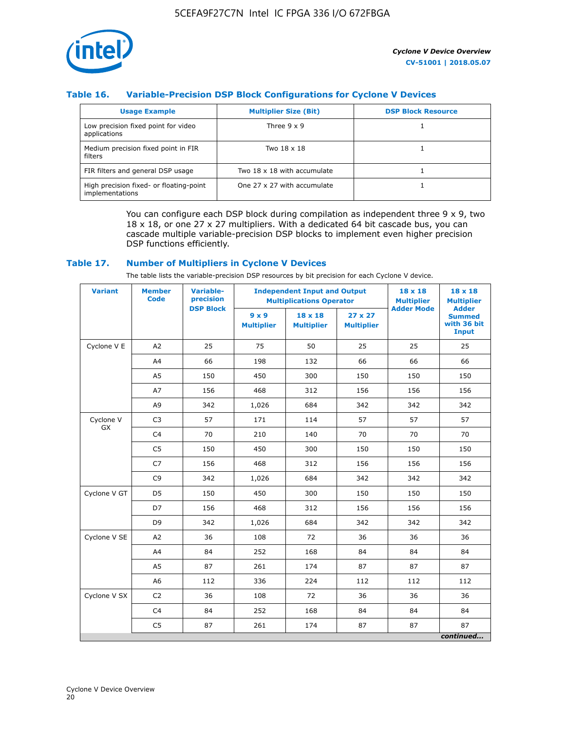

## **Table 16. Variable-Precision DSP Block Configurations for Cyclone V Devices**

| <b>Usage Example</b>                                       | <b>Multiplier Size (Bit)</b> | <b>DSP Block Resource</b> |
|------------------------------------------------------------|------------------------------|---------------------------|
| Low precision fixed point for video<br>applications        | Three $9 \times 9$           |                           |
| Medium precision fixed point in FIR<br>filters             | Two 18 x 18                  |                           |
| FIR filters and general DSP usage                          | Two 18 x 18 with accumulate  |                           |
| High precision fixed- or floating-point<br>implementations | One 27 x 27 with accumulate  |                           |

You can configure each DSP block during compilation as independent three  $9 \times 9$ , two 18 x 18, or one 27 x 27 multipliers. With a dedicated 64 bit cascade bus, you can cascade multiple variable-precision DSP blocks to implement even higher precision DSP functions efficiently.

#### **Table 17. Number of Multipliers in Cyclone V Devices**

The table lists the variable-precision DSP resources by bit precision for each Cyclone V device.

| <b>Variant</b>         | <b>Member</b><br><b>Code</b> | <b>Variable-</b><br>precision |                                   | <b>Independent Input and Output</b><br><b>Multiplications Operator</b> | $18 \times 18$<br><b>Multiplier</b> | $18 \times 18$<br><b>Multiplier</b> |                                                              |
|------------------------|------------------------------|-------------------------------|-----------------------------------|------------------------------------------------------------------------|-------------------------------------|-------------------------------------|--------------------------------------------------------------|
|                        |                              | <b>DSP Block</b>              | $9 \times 9$<br><b>Multiplier</b> | $18 \times 18$<br><b>Multiplier</b>                                    | $27 \times 27$<br><b>Multiplier</b> | <b>Adder Mode</b>                   | <b>Adder</b><br><b>Summed</b><br>with 36 bit<br><b>Input</b> |
| Cyclone V E            | A2                           | 25                            | 75                                | 50                                                                     | 25                                  | 25                                  | 25                                                           |
|                        | A4                           | 66                            | 198                               | 132                                                                    | 66                                  | 66                                  | 66                                                           |
|                        | A <sub>5</sub>               | 150                           | 450                               | 300                                                                    | 150                                 | 150                                 | 150                                                          |
|                        | A7                           | 156                           | 468                               | 312                                                                    | 156                                 | 156                                 | 156                                                          |
|                        | A <sub>9</sub>               | 342                           | 1,026                             | 684                                                                    | 342                                 | 342                                 | 342                                                          |
| Cyclone V<br><b>GX</b> | C <sub>3</sub>               | 57                            | 171                               | 114                                                                    | 57                                  | 57                                  | 57                                                           |
|                        | C <sub>4</sub>               | 70                            | 210                               | 140                                                                    | 70                                  | 70                                  | 70                                                           |
|                        | C <sub>5</sub>               | 150                           | 450                               | 300                                                                    | 150                                 | 150                                 | 150                                                          |
|                        | C <sub>7</sub>               | 156                           | 468                               | 312                                                                    | 156                                 | 156                                 | 156                                                          |
|                        | C <sub>9</sub>               | 342                           | 1,026                             | 684                                                                    | 342                                 | 342                                 | 342                                                          |
| Cyclone V GT           | D <sub>5</sub>               | 150                           | 450                               | 300                                                                    | 150                                 | 150                                 | 150                                                          |
|                        | D7                           | 156                           | 468                               | 312                                                                    | 156                                 | 156                                 | 156                                                          |
|                        | D <sub>9</sub>               | 342                           | 1,026                             | 684                                                                    | 342                                 | 342                                 | 342                                                          |
| Cyclone V SE           | A <sub>2</sub>               | 36                            | 108                               | 72                                                                     | 36                                  | 36                                  | 36                                                           |
|                        | A4                           | 84                            | 252                               | 168                                                                    | 84                                  | 84                                  | 84                                                           |
|                        | A5                           | 87                            | 261                               | 174                                                                    | 87                                  | 87                                  | 87                                                           |
|                        | A <sub>6</sub>               | 112                           | 336                               | 224                                                                    | 112                                 | 112                                 | 112                                                          |
| Cyclone V SX           | C <sub>2</sub>               | 36                            | 108                               | 72                                                                     | 36                                  | 36                                  | 36                                                           |
|                        | C <sub>4</sub>               | 84                            | 252                               | 168                                                                    | 84                                  | 84                                  | 84                                                           |
|                        | C <sub>5</sub>               | 87                            | 261                               | 174                                                                    | 87                                  | 87                                  | 87                                                           |
|                        |                              |                               |                                   |                                                                        |                                     |                                     | continued                                                    |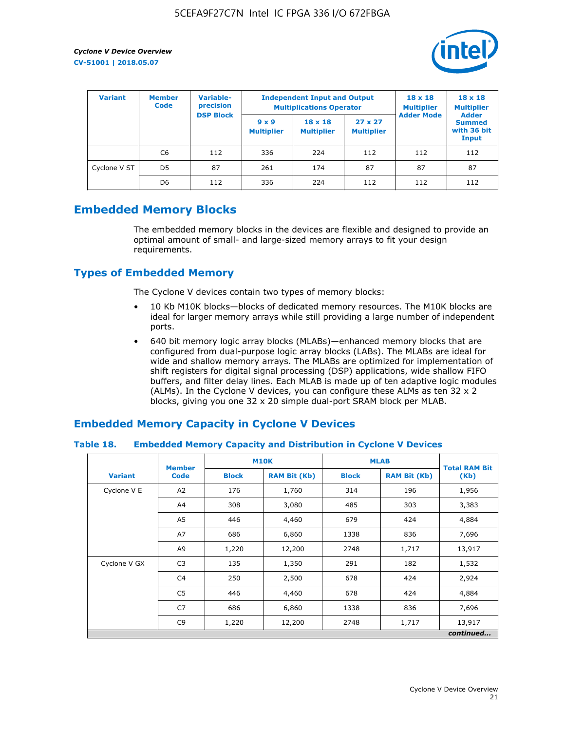

| <b>Variant</b> | <b>Variable-</b><br><b>Member</b><br>precision<br><b>Code</b> |                  | <b>Independent Input and Output</b><br><b>Multiplications Operator</b> | $18 \times 18$<br><b>Multiplier</b> | $18 \times 18$<br><b>Multiplier</b><br><b>Adder</b> |                   |                                       |
|----------------|---------------------------------------------------------------|------------------|------------------------------------------------------------------------|-------------------------------------|-----------------------------------------------------|-------------------|---------------------------------------|
|                |                                                               | <b>DSP Block</b> | $9 \times 9$<br><b>Multiplier</b>                                      | $18 \times 18$<br><b>Multiplier</b> | $27 \times 27$<br><b>Multiplier</b>                 | <b>Adder Mode</b> | <b>Summed</b><br>with 36 bit<br>Input |
|                | C6                                                            | 112              | 336                                                                    | 224                                 | 112                                                 | 112               | 112                                   |
| Cyclone V ST   | D <sub>5</sub>                                                | 87               | 261                                                                    | 174                                 | 87                                                  | 87                | 87                                    |
|                | D <sub>6</sub>                                                | 112              | 336                                                                    | 224                                 | 112                                                 | 112               | 112                                   |

# **Embedded Memory Blocks**

The embedded memory blocks in the devices are flexible and designed to provide an optimal amount of small- and large-sized memory arrays to fit your design requirements.

# **Types of Embedded Memory**

The Cyclone V devices contain two types of memory blocks:

- 10 Kb M10K blocks—blocks of dedicated memory resources. The M10K blocks are ideal for larger memory arrays while still providing a large number of independent ports.
- 640 bit memory logic array blocks (MLABs)—enhanced memory blocks that are configured from dual-purpose logic array blocks (LABs). The MLABs are ideal for wide and shallow memory arrays. The MLABs are optimized for implementation of shift registers for digital signal processing (DSP) applications, wide shallow FIFO buffers, and filter delay lines. Each MLAB is made up of ten adaptive logic modules (ALMs). In the Cyclone V devices, you can configure these ALMs as ten 32 x 2 blocks, giving you one 32 x 20 simple dual-port SRAM block per MLAB.

## **Embedded Memory Capacity in Cyclone V Devices**

#### **Table 18. Embedded Memory Capacity and Distribution in Cyclone V Devices**

|                | <b>Member</b>  | <b>M10K</b>  |                     | <b>MLAB</b>  | <b>Total RAM Bit</b> |        |  |  |  |
|----------------|----------------|--------------|---------------------|--------------|----------------------|--------|--|--|--|
| <b>Variant</b> | <b>Code</b>    | <b>Block</b> | <b>RAM Bit (Kb)</b> | <b>Block</b> | <b>RAM Bit (Kb)</b>  | (Kb)   |  |  |  |
| Cyclone V E    | A2             | 176          | 1,760               | 314          | 196                  | 1,956  |  |  |  |
|                | A4             | 308          | 3,080               | 485          | 303                  | 3,383  |  |  |  |
|                | A5             | 446          | 4,460               | 679          | 424                  | 4,884  |  |  |  |
|                | A7             | 686          | 6,860               | 1338         | 836                  | 7,696  |  |  |  |
|                | A9             | 1,220        | 12,200              | 2748         | 1,717                | 13,917 |  |  |  |
| Cyclone V GX   | C <sub>3</sub> | 135          | 1,350               | 291          | 182                  | 1,532  |  |  |  |
|                | C4             | 250          | 2,500               | 678          | 424                  | 2,924  |  |  |  |
|                | C5             | 446          | 4,460               | 678          | 424                  | 4,884  |  |  |  |
|                | C7             | 686          | 6,860               | 1338         | 836                  | 7,696  |  |  |  |
|                | C <sub>9</sub> | 1,220        | 12,200              | 2748         | 1,717                | 13,917 |  |  |  |
|                | continued      |              |                     |              |                      |        |  |  |  |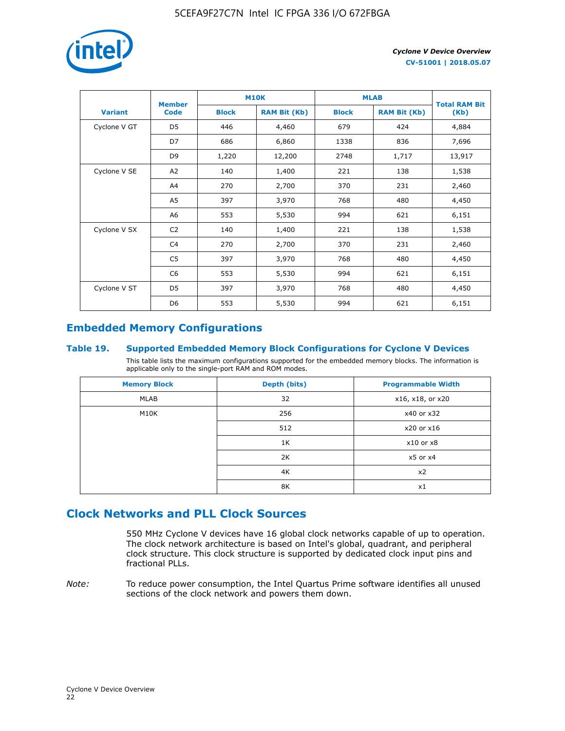

|                | <b>Member</b>  | <b>M10K</b>  |                     | <b>MLAB</b>  | <b>Total RAM Bit</b> |        |
|----------------|----------------|--------------|---------------------|--------------|----------------------|--------|
| <b>Variant</b> | <b>Code</b>    | <b>Block</b> | <b>RAM Bit (Kb)</b> | <b>Block</b> | <b>RAM Bit (Kb)</b>  | (Kb)   |
| Cyclone V GT   | D <sub>5</sub> | 446          | 4,460               | 679          | 424                  | 4,884  |
|                | D7             | 686          | 6,860               | 1338         | 836                  | 7,696  |
|                | D <sub>9</sub> | 1,220        | 12,200              | 2748         | 1,717                | 13,917 |
| Cyclone V SE   | A <sub>2</sub> | 140          | 1,400               | 221          | 138                  | 1,538  |
|                | A4             | 270          | 2,700               | 370          | 231                  | 2,460  |
|                | A5             | 397          | 3,970               | 768          | 480                  | 4,450  |
|                | A <sub>6</sub> | 553          | 5,530               | 994          | 621                  | 6,151  |
| Cyclone V SX   | C <sub>2</sub> | 140          | 1,400               | 221          | 138                  | 1,538  |
|                | C <sub>4</sub> | 270          | 2,700               | 370          | 231                  | 2,460  |
|                | C <sub>5</sub> | 397          | 3,970               | 768          | 480                  | 4,450  |
|                | C <sub>6</sub> | 553          | 5,530               | 994          | 621                  | 6,151  |
| Cyclone V ST   | D <sub>5</sub> | 397          | 3,970               | 768          | 480                  | 4,450  |
|                | D <sub>6</sub> | 553          | 5,530               | 994          | 621                  | 6,151  |

# **Embedded Memory Configurations**

#### **Table 19. Supported Embedded Memory Block Configurations for Cyclone V Devices**

This table lists the maximum configurations supported for the embedded memory blocks. The information is applicable only to the single-port RAM and ROM modes.

| <b>Memory Block</b> | Depth (bits) | <b>Programmable Width</b> |
|---------------------|--------------|---------------------------|
| MLAB                | 32           | x16, x18, or x20          |
| M10K                | 256          | x40 or x32                |
|                     | 512          | x20 or x16                |
|                     | 1K           | $x10$ or $x8$             |
|                     | 2K           | $x5$ or $x4$              |
|                     | 4K           | x2                        |
|                     | 8K           | x1                        |

# **Clock Networks and PLL Clock Sources**

550 MHz Cyclone V devices have 16 global clock networks capable of up to operation. The clock network architecture is based on Intel's global, quadrant, and peripheral clock structure. This clock structure is supported by dedicated clock input pins and fractional PLLs.

*Note:* To reduce power consumption, the Intel Quartus Prime software identifies all unused sections of the clock network and powers them down.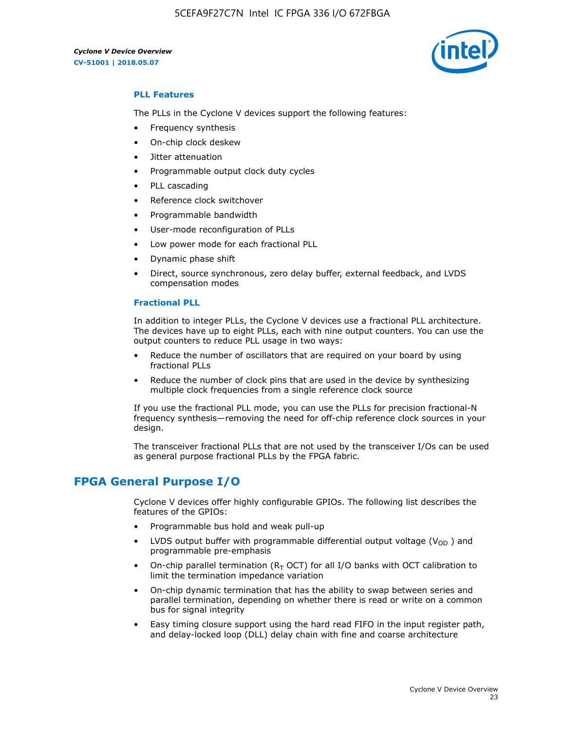5CEFA9F27C7N Intel IC FPGA 336 I/O 672FBGA



#### **PLL Features**

The PLLs in the Cyclone V devices support the following features:

- Frequency synthesis
- On-chip clock deskew
- Jitter attenuation
- Programmable output clock duty cycles
- PLL cascading
- Reference clock switchover
- Programmable bandwidth
- User-mode reconfiguration of PLLs
- Low power mode for each fractional PLL
- Dynamic phase shift
- Direct, source synchronous, zero delay buffer, external feedback, and LVDS compensation modes

#### **Fractional PLL**

In addition to integer PLLs, the Cyclone V devices use a fractional PLL architecture. The devices have up to eight PLLs, each with nine output counters. You can use the output counters to reduce PLL usage in two ways:

- Reduce the number of oscillators that are required on your board by using fractional PLLs
- Reduce the number of clock pins that are used in the device by synthesizing multiple clock frequencies from a single reference clock source

If you use the fractional PLL mode, you can use the PLLs for precision fractional-N frequency synthesis—removing the need for off-chip reference clock sources in your design.

The transceiver fractional PLLs that are not used by the transceiver I/Os can be used as general purpose fractional PLLs by the FPGA fabric.

## **FPGA General Purpose I/O**

Cyclone V devices offer highly configurable GPIOs. The following list describes the features of the GPIOs:

- Programmable bus hold and weak pull-up
- LVDS output buffer with programmable differential output voltage ( $V_{OD}$ ) and programmable pre-emphasis
- On-chip parallel termination ( $R<sub>T</sub>$  OCT) for all I/O banks with OCT calibration to limit the termination impedance variation
- On-chip dynamic termination that has the ability to swap between series and parallel termination, depending on whether there is read or write on a common bus for signal integrity
- Easy timing closure support using the hard read FIFO in the input register path, and delay-locked loop (DLL) delay chain with fine and coarse architecture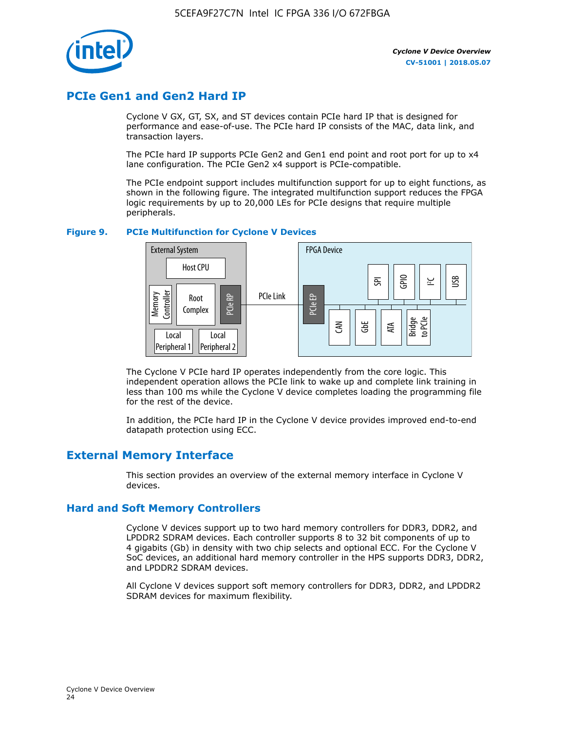

# **PCIe Gen1 and Gen2 Hard IP**

Cyclone V GX, GT, SX, and ST devices contain PCIe hard IP that is designed for performance and ease-of-use. The PCIe hard IP consists of the MAC, data link, and transaction layers.

The PCIe hard IP supports PCIe Gen2 and Gen1 end point and root port for up to x4 lane configuration. The PCIe Gen2 x4 support is PCIe-compatible.

The PCIe endpoint support includes multifunction support for up to eight functions, as shown in the following figure. The integrated multifunction support reduces the FPGA logic requirements by up to 20,000 LEs for PCIe designs that require multiple peripherals.

#### **Figure 9. PCIe Multifunction for Cyclone V Devices**



The Cyclone V PCIe hard IP operates independently from the core logic. This independent operation allows the PCIe link to wake up and complete link training in less than 100 ms while the Cyclone V device completes loading the programming file for the rest of the device.

In addition, the PCIe hard IP in the Cyclone V device provides improved end-to-end datapath protection using ECC.

## **External Memory Interface**

This section provides an overview of the external memory interface in Cyclone V devices.

### **Hard and Soft Memory Controllers**

Cyclone V devices support up to two hard memory controllers for DDR3, DDR2, and LPDDR2 SDRAM devices. Each controller supports 8 to 32 bit components of up to 4 gigabits (Gb) in density with two chip selects and optional ECC. For the Cyclone V SoC devices, an additional hard memory controller in the HPS supports DDR3, DDR2, and LPDDR2 SDRAM devices.

All Cyclone V devices support soft memory controllers for DDR3, DDR2, and LPDDR2 SDRAM devices for maximum flexibility.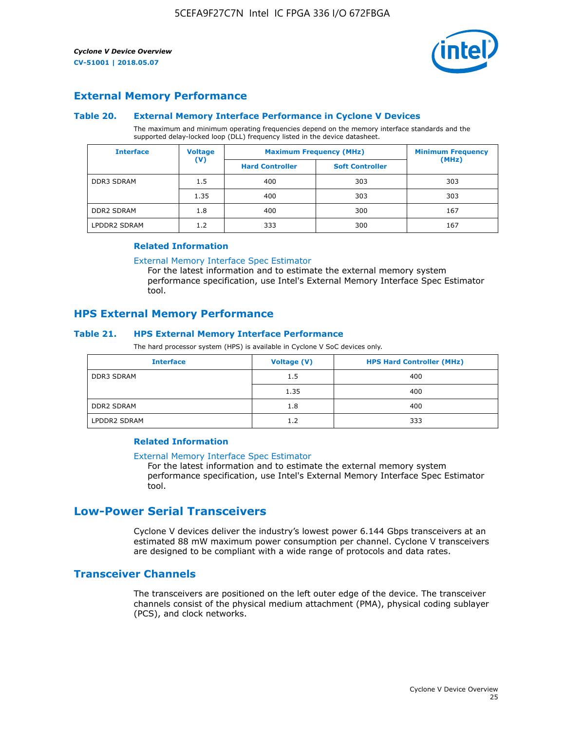

## **External Memory Performance**

#### **Table 20. External Memory Interface Performance in Cyclone V Devices**

The maximum and minimum operating frequencies depend on the memory interface standards and the supported delay-locked loop (DLL) frequency listed in the device datasheet.

| <b>Voltage</b><br><b>Interface</b> |                | <b>Maximum Frequency (MHz)</b> | <b>Minimum Frequency</b> |       |  |
|------------------------------------|----------------|--------------------------------|--------------------------|-------|--|
|                                    | $(\mathsf{V})$ | <b>Hard Controller</b>         | <b>Soft Controller</b>   | (MHz) |  |
| <b>DDR3 SDRAM</b>                  | 1.5            | 400                            | 303                      | 303   |  |
|                                    | 1.35           | 400                            | 303                      | 303   |  |
| <b>DDR2 SDRAM</b>                  | 1.8            | 400                            | 300                      | 167   |  |
| LPDDR2 SDRAM                       | 1.2            | 333                            | 300                      | 167   |  |

#### **Related Information**

[External Memory Interface Spec Estimator](https://www.altera.com/solutions/technology/external-memory/spec-estimator.html)

For the latest information and to estimate the external memory system performance specification, use Intel's External Memory Interface Spec Estimator tool.

### **HPS External Memory Performance**

#### **Table 21. HPS External Memory Interface Performance**

The hard processor system (HPS) is available in Cyclone V SoC devices only.

| <b>Interface</b>  | <b>Voltage (V)</b> | <b>HPS Hard Controller (MHz)</b> |
|-------------------|--------------------|----------------------------------|
| <b>DDR3 SDRAM</b> | 1.5                | 400                              |
|                   | 1.35               | 400                              |
| <b>DDR2 SDRAM</b> | 1.8                | 400                              |
| LPDDR2 SDRAM      | 1.2                | 333                              |

#### **Related Information**

#### [External Memory Interface Spec Estimator](https://www.altera.com/solutions/technology/external-memory/spec-estimator.html)

For the latest information and to estimate the external memory system performance specification, use Intel's External Memory Interface Spec Estimator tool.

# **Low-Power Serial Transceivers**

Cyclone V devices deliver the industry's lowest power 6.144 Gbps transceivers at an estimated 88 mW maximum power consumption per channel. Cyclone V transceivers are designed to be compliant with a wide range of protocols and data rates.

## **Transceiver Channels**

The transceivers are positioned on the left outer edge of the device. The transceiver channels consist of the physical medium attachment (PMA), physical coding sublayer (PCS), and clock networks.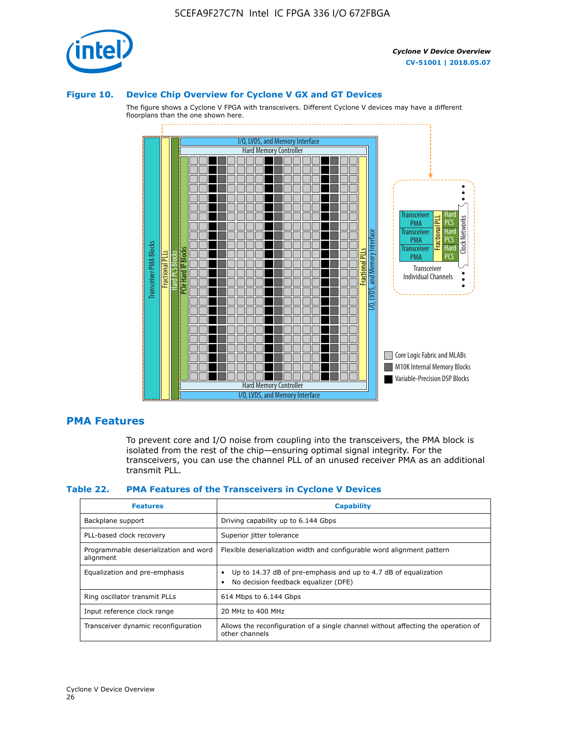

#### **Figure 10. Device Chip Overview for Cyclone V GX and GT Devices**

The figure shows a Cyclone V FPGA with transceivers. Different Cyclone V devices may have a different floorplans than the one shown here.



### **PMA Features**

To prevent core and I/O noise from coupling into the transceivers, the PMA block is isolated from the rest of the chip—ensuring optimal signal integrity. For the transceivers, you can use the channel PLL of an unused receiver PMA as an additional transmit PLL.

#### **Table 22. PMA Features of the Transceivers in Cyclone V Devices**

| <b>Features</b>                                    | <b>Capability</b>                                                                                       |
|----------------------------------------------------|---------------------------------------------------------------------------------------------------------|
| Backplane support                                  | Driving capability up to 6.144 Gbps                                                                     |
| PLL-based clock recovery                           | Superior jitter tolerance                                                                               |
| Programmable deserialization and word<br>alignment | Flexible deserialization width and configurable word alignment pattern                                  |
| Equalization and pre-emphasis                      | Up to 14.37 dB of pre-emphasis and up to 4.7 dB of equalization<br>No decision feedback equalizer (DFE) |
| Ring oscillator transmit PLLs                      | 614 Mbps to 6.144 Gbps                                                                                  |
| Input reference clock range                        | 20 MHz to 400 MHz                                                                                       |
| Transceiver dynamic reconfiguration                | Allows the reconfiguration of a single channel without affecting the operation of<br>other channels     |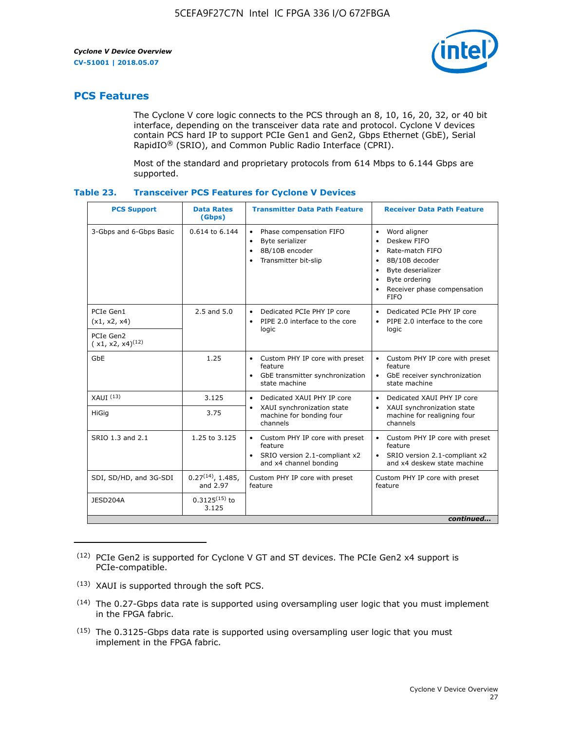

# **PCS Features**

The Cyclone V core logic connects to the PCS through an 8, 10, 16, 20, 32, or 40 bit interface, depending on the transceiver data rate and protocol. Cyclone V devices contain PCS hard IP to support PCIe Gen1 and Gen2, Gbps Ethernet (GbE), Serial RapidIO® (SRIO), and Common Public Radio Interface (CPRI).

Most of the standard and proprietary protocols from 614 Mbps to 6.144 Gbps are supported.

| Table 23. |  | <b>Transceiver PCS Features for Cyclone V Devices</b> |
|-----------|--|-------------------------------------------------------|
|           |  |                                                       |

| <b>PCS Support</b>                 | <b>Data Rates</b><br>(Gbps)        | <b>Transmitter Data Path Feature</b>                                                                         | <b>Receiver Data Path Feature</b>                                                                                                                                                                                                  |  |  |
|------------------------------------|------------------------------------|--------------------------------------------------------------------------------------------------------------|------------------------------------------------------------------------------------------------------------------------------------------------------------------------------------------------------------------------------------|--|--|
| 3-Gbps and 6-Gbps Basic            | 0.614 to 6.144                     | • Phase compensation FIFO<br>Byte serializer<br>8B/10B encoder<br>Transmitter bit-slip                       | Word aligner<br>$\bullet$<br>Deskew FIFO<br>$\bullet$<br>Rate-match FIFO<br>$\bullet$<br>8B/10B decoder<br>$\bullet$<br>Byte deserializer<br>$\bullet$<br>Byte ordering<br>$\bullet$<br>Receiver phase compensation<br><b>FIFO</b> |  |  |
| PCIe Gen1<br>(x1, x2, x4)          | $2.5$ and $5.0$                    | Dedicated PCIe PHY IP core<br>PIPE 2.0 interface to the core<br>$\bullet$<br>logic                           | Dedicated PCIe PHY IP core<br>$\bullet$<br>PIPE 2.0 interface to the core<br>$\bullet$<br>logic                                                                                                                                    |  |  |
| PCIe Gen2<br>$(x1, x2, x4)^{(12)}$ |                                    |                                                                                                              |                                                                                                                                                                                                                                    |  |  |
| GbE                                | 1.25                               | • Custom PHY IP core with preset<br>feature<br>GbE transmitter synchronization<br>$\bullet$<br>state machine | • Custom PHY IP core with preset<br>feature<br>GbE receiver synchronization<br>state machine                                                                                                                                       |  |  |
| $XAUI$ $(13)$                      | 3.125                              | Dedicated XAUI PHY IP core<br>$\bullet$                                                                      | Dedicated XAUI PHY IP core<br>$\bullet$                                                                                                                                                                                            |  |  |
| <b>HiGig</b>                       | 3.75                               | XAUI synchronization state<br>$\bullet$<br>machine for bonding four<br>channels                              | XAUI synchronization state<br>$\bullet$<br>machine for realigning four<br>channels                                                                                                                                                 |  |  |
| SRIO 1.3 and 2.1                   | 1.25 to 3.125                      | • Custom PHY IP core with preset<br>feature<br>• SRIO version 2.1-compliant x2<br>and x4 channel bonding     | • Custom PHY IP core with preset<br>feature<br>• SRIO version 2.1-compliant x2<br>and x4 deskew state machine                                                                                                                      |  |  |
| SDI, SD/HD, and 3G-SDI             | $0.27^{(14)}$ , 1.485,<br>and 2.97 | Custom PHY IP core with preset<br>feature                                                                    | Custom PHY IP core with preset<br>feature                                                                                                                                                                                          |  |  |
| JESD204A                           | $0.3125^{(15)}$ to<br>3.125        |                                                                                                              |                                                                                                                                                                                                                                    |  |  |
| continued                          |                                    |                                                                                                              |                                                                                                                                                                                                                                    |  |  |

<sup>(12)</sup> PCIe Gen2 is supported for Cyclone V GT and ST devices. The PCIe Gen2 x4 support is PCIe-compatible.

<sup>(13)</sup> XAUI is supported through the soft PCS.

<sup>(14)</sup> The 0.27-Gbps data rate is supported using oversampling user logic that you must implement in the FPGA fabric.

<sup>(15)</sup> The 0.3125-Gbps data rate is supported using oversampling user logic that you must implement in the FPGA fabric.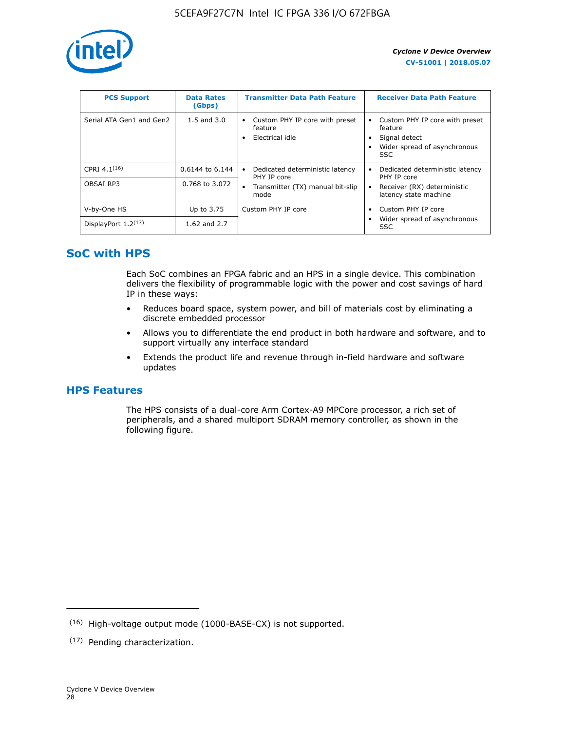

| <b>PCS Support</b>       | <b>Data Rates</b><br>(Gbps) | <b>Transmitter Data Path Feature</b>                         | <b>Receiver Data Path Feature</b>                                                                  |
|--------------------------|-----------------------------|--------------------------------------------------------------|----------------------------------------------------------------------------------------------------|
| Serial ATA Gen1 and Gen2 | $1.5$ and $3.0$             | Custom PHY IP core with preset<br>feature<br>Electrical idle | Custom PHY IP core with preset<br>feature<br>Signal detect<br>Wider spread of asynchronous<br>SSC. |
| CPRI $4.1^{(16)}$        | 0.6144 to 6.144             | Dedicated deterministic latency<br>$\bullet$<br>PHY IP core  | Dedicated deterministic latency<br>PHY IP core                                                     |
| OBSAI RP3                | 0.768 to 3.072              | Transmitter (TX) manual bit-slip<br>mode                     | Receiver (RX) deterministic<br>latency state machine                                               |
| V-by-One HS              | Up to 3.75                  | Custom PHY IP core                                           | Custom PHY IP core                                                                                 |
| DisplayPort $1.2^{(17)}$ | 1.62 and $2.7$              |                                                              | Wider spread of asynchronous<br><b>SSC</b>                                                         |

# **SoC with HPS**

Each SoC combines an FPGA fabric and an HPS in a single device. This combination delivers the flexibility of programmable logic with the power and cost savings of hard IP in these ways:

- Reduces board space, system power, and bill of materials cost by eliminating a discrete embedded processor
- Allows you to differentiate the end product in both hardware and software, and to support virtually any interface standard
- Extends the product life and revenue through in-field hardware and software updates

## **HPS Features**

The HPS consists of a dual-core Arm Cortex-A9 MPCore processor, a rich set of peripherals, and a shared multiport SDRAM memory controller, as shown in the following figure.

<sup>(16)</sup> High-voltage output mode (1000-BASE-CX) is not supported.

<sup>(17)</sup> Pending characterization.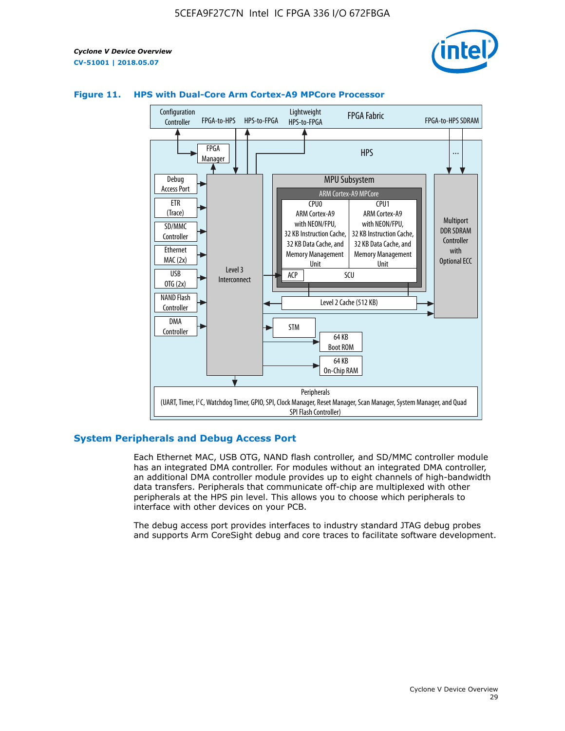



#### **Figure 11. HPS with Dual-Core Arm Cortex-A9 MPCore Processor**

#### **System Peripherals and Debug Access Port**

Each Ethernet MAC, USB OTG, NAND flash controller, and SD/MMC controller module has an integrated DMA controller. For modules without an integrated DMA controller, an additional DMA controller module provides up to eight channels of high-bandwidth data transfers. Peripherals that communicate off-chip are multiplexed with other peripherals at the HPS pin level. This allows you to choose which peripherals to interface with other devices on your PCB.

The debug access port provides interfaces to industry standard JTAG debug probes and supports Arm CoreSight debug and core traces to facilitate software development.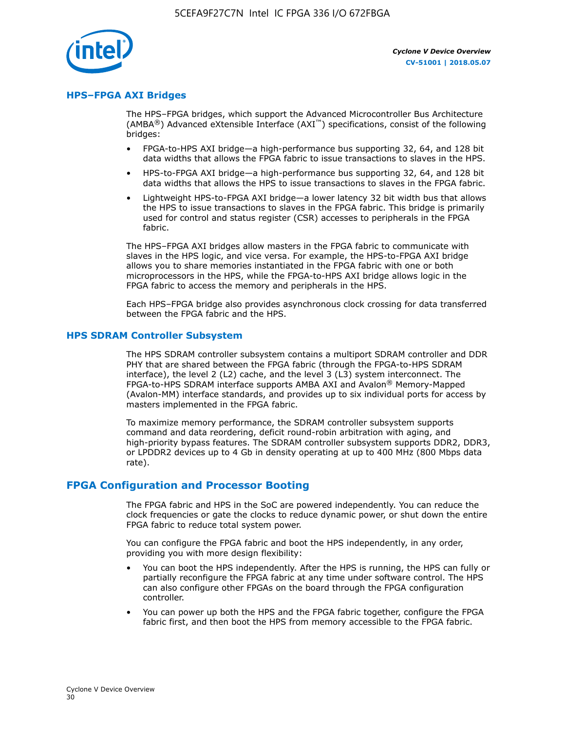

#### **HPS–FPGA AXI Bridges**

The HPS–FPGA bridges, which support the Advanced Microcontroller Bus Architecture (AMBA<sup>®</sup>) Advanced eXtensible Interface (AXI<sup>™</sup>) specifications, consist of the following bridges:

- FPGA-to-HPS AXI bridge—a high-performance bus supporting 32, 64, and 128 bit data widths that allows the FPGA fabric to issue transactions to slaves in the HPS.
- HPS-to-FPGA AXI bridge—a high-performance bus supporting 32, 64, and 128 bit data widths that allows the HPS to issue transactions to slaves in the FPGA fabric.
- Lightweight HPS-to-FPGA AXI bridge—a lower latency 32 bit width bus that allows the HPS to issue transactions to slaves in the FPGA fabric. This bridge is primarily used for control and status register (CSR) accesses to peripherals in the FPGA fabric.

The HPS–FPGA AXI bridges allow masters in the FPGA fabric to communicate with slaves in the HPS logic, and vice versa. For example, the HPS-to-FPGA AXI bridge allows you to share memories instantiated in the FPGA fabric with one or both microprocessors in the HPS, while the FPGA-to-HPS AXI bridge allows logic in the FPGA fabric to access the memory and peripherals in the HPS.

Each HPS–FPGA bridge also provides asynchronous clock crossing for data transferred between the FPGA fabric and the HPS.

#### **HPS SDRAM Controller Subsystem**

The HPS SDRAM controller subsystem contains a multiport SDRAM controller and DDR PHY that are shared between the FPGA fabric (through the FPGA-to-HPS SDRAM interface), the level 2 (L2) cache, and the level 3 (L3) system interconnect. The FPGA-to-HPS SDRAM interface supports AMBA AXI and Avalon® Memory-Mapped (Avalon-MM) interface standards, and provides up to six individual ports for access by masters implemented in the FPGA fabric.

To maximize memory performance, the SDRAM controller subsystem supports command and data reordering, deficit round-robin arbitration with aging, and high-priority bypass features. The SDRAM controller subsystem supports DDR2, DDR3, or LPDDR2 devices up to 4 Gb in density operating at up to 400 MHz (800 Mbps data rate).

#### **FPGA Configuration and Processor Booting**

The FPGA fabric and HPS in the SoC are powered independently. You can reduce the clock frequencies or gate the clocks to reduce dynamic power, or shut down the entire FPGA fabric to reduce total system power.

You can configure the FPGA fabric and boot the HPS independently, in any order, providing you with more design flexibility:

- You can boot the HPS independently. After the HPS is running, the HPS can fully or partially reconfigure the FPGA fabric at any time under software control. The HPS can also configure other FPGAs on the board through the FPGA configuration controller.
- You can power up both the HPS and the FPGA fabric together, configure the FPGA fabric first, and then boot the HPS from memory accessible to the FPGA fabric.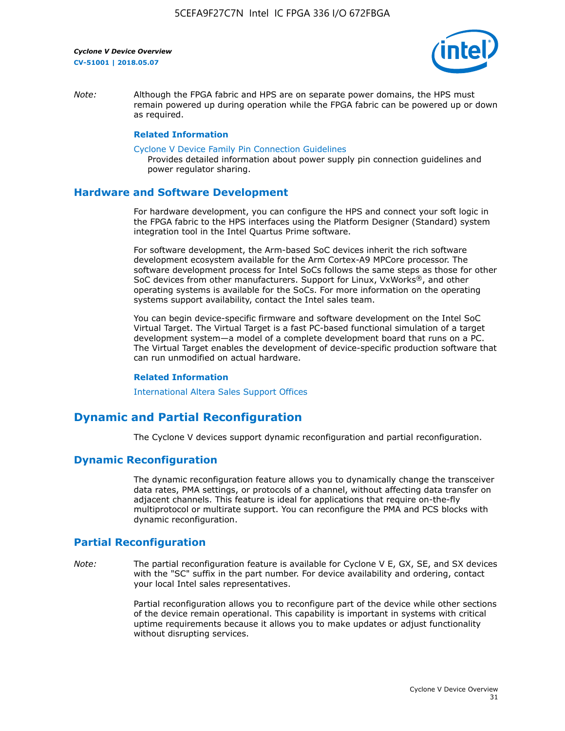

*Note:* Although the FPGA fabric and HPS are on separate power domains, the HPS must remain powered up during operation while the FPGA fabric can be powered up or down as required.

#### **Related Information**

[Cyclone V Device Family Pin Connection Guidelines](https://www.altera.com/content/dam/altera-www/global/en_US/pdfs/literature/dp/cyclone-v/pcg-01014.pdf)

Provides detailed information about power supply pin connection guidelines and power regulator sharing.

#### **Hardware and Software Development**

For hardware development, you can configure the HPS and connect your soft logic in the FPGA fabric to the HPS interfaces using the Platform Designer (Standard) system integration tool in the Intel Quartus Prime software.

For software development, the Arm-based SoC devices inherit the rich software development ecosystem available for the Arm Cortex-A9 MPCore processor. The software development process for Intel SoCs follows the same steps as those for other SoC devices from other manufacturers. Support for Linux, VxWorks®, and other operating systems is available for the SoCs. For more information on the operating systems support availability, contact the Intel sales team.

You can begin device-specific firmware and software development on the Intel SoC Virtual Target. The Virtual Target is a fast PC-based functional simulation of a target development system—a model of a complete development board that runs on a PC. The Virtual Target enables the development of device-specific production software that can run unmodified on actual hardware.

#### **Related Information**

[International Altera Sales Support Offices](https://www.altera.com/about/contact/contact/international-altera-sales-offices.html)

## **Dynamic and Partial Reconfiguration**

The Cyclone V devices support dynamic reconfiguration and partial reconfiguration.

### **Dynamic Reconfiguration**

The dynamic reconfiguration feature allows you to dynamically change the transceiver data rates, PMA settings, or protocols of a channel, without affecting data transfer on adjacent channels. This feature is ideal for applications that require on-the-fly multiprotocol or multirate support. You can reconfigure the PMA and PCS blocks with dynamic reconfiguration.

# **Partial Reconfiguration**

*Note:* The partial reconfiguration feature is available for Cyclone V E, GX, SE, and SX devices with the "SC" suffix in the part number. For device availability and ordering, contact your local Intel sales representatives.

> Partial reconfiguration allows you to reconfigure part of the device while other sections of the device remain operational. This capability is important in systems with critical uptime requirements because it allows you to make updates or adjust functionality without disrupting services.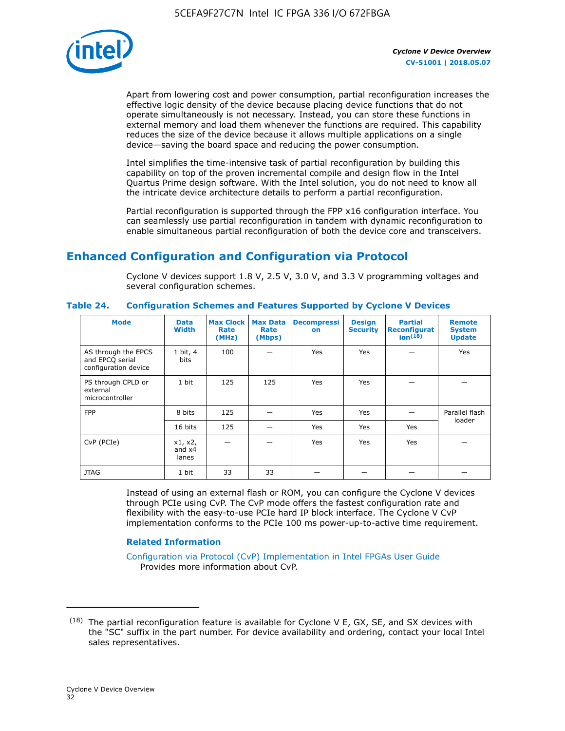

Apart from lowering cost and power consumption, partial reconfiguration increases the effective logic density of the device because placing device functions that do not operate simultaneously is not necessary. Instead, you can store these functions in external memory and load them whenever the functions are required. This capability reduces the size of the device because it allows multiple applications on a single device—saving the board space and reducing the power consumption.

Intel simplifies the time-intensive task of partial reconfiguration by building this capability on top of the proven incremental compile and design flow in the Intel Quartus Prime design software. With the Intel solution, you do not need to know all the intricate device architecture details to perform a partial reconfiguration.

Partial reconfiguration is supported through the FPP x16 configuration interface. You can seamlessly use partial reconfiguration in tandem with dynamic reconfiguration to enable simultaneous partial reconfiguration of both the device core and transceivers.

# **Enhanced Configuration and Configuration via Protocol**

Cyclone V devices support 1.8 V, 2.5 V, 3.0 V, and 3.3 V programming voltages and several configuration schemes.

| <b>Mode</b>                                                    | <b>Data</b><br>Width         | Max Clock  <br>Rate<br>(MHz) | <b>Max Data</b><br>Rate<br>(Mbps) | <b>Decompressi</b><br>on | <b>Design</b><br><b>Security</b> | <b>Partial</b><br>Reconfigurat<br>ion <sup>(18)</sup> | <b>Remote</b><br><b>System</b><br><b>Update</b> |
|----------------------------------------------------------------|------------------------------|------------------------------|-----------------------------------|--------------------------|----------------------------------|-------------------------------------------------------|-------------------------------------------------|
| AS through the EPCS<br>and EPCQ serial<br>configuration device | 1 bit, 4<br>bits             | 100                          |                                   | Yes                      | <b>Yes</b>                       |                                                       | Yes                                             |
| PS through CPLD or<br>external<br>microcontroller              | 1 bit                        | 125                          | 125                               | Yes                      | Yes                              |                                                       |                                                 |
| <b>FPP</b>                                                     | 8 bits                       | 125                          |                                   | Yes                      | <b>Yes</b>                       |                                                       | Parallel flash                                  |
|                                                                | 16 bits                      | 125                          |                                   | Yes                      | <b>Yes</b>                       | Yes                                                   | loader                                          |
| CvP (PCIe)                                                     | x1, x2,<br>and $x4$<br>lanes |                              |                                   | Yes                      | <b>Yes</b>                       | Yes                                                   |                                                 |
| <b>JTAG</b>                                                    | 1 bit                        | 33                           | 33                                |                          |                                  |                                                       |                                                 |

**Table 24. Configuration Schemes and Features Supported by Cyclone V Devices**

Instead of using an external flash or ROM, you can configure the Cyclone V devices through PCIe using CvP. The CvP mode offers the fastest configuration rate and flexibility with the easy-to-use PCIe hard IP block interface. The Cyclone V CvP implementation conforms to the PCIe 100 ms power-up-to-active time requirement.

### **Related Information**

[Configuration via Protocol \(CvP\) Implementation in Intel FPGAs User Guide](https://www.altera.com/documentation/nik1412546950394.html#nik1412546833714) Provides more information about CvP.

 $(18)$  The partial reconfiguration feature is available for Cyclone V E, GX, SE, and SX devices with the "SC" suffix in the part number. For device availability and ordering, contact your local Intel sales representatives.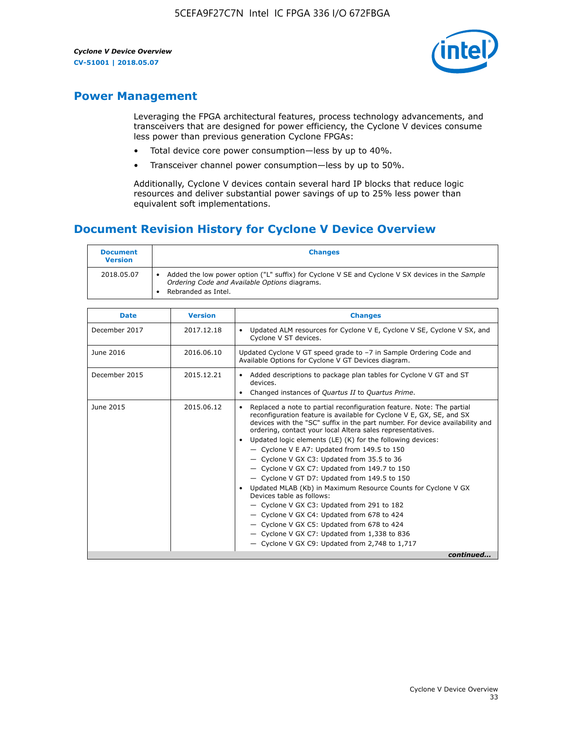

# **Power Management**

Leveraging the FPGA architectural features, process technology advancements, and transceivers that are designed for power efficiency, the Cyclone V devices consume less power than previous generation Cyclone FPGAs:

- Total device core power consumption—less by up to 40%.
- Transceiver channel power consumption—less by up to 50%.

Additionally, Cyclone V devices contain several hard IP blocks that reduce logic resources and deliver substantial power savings of up to 25% less power than equivalent soft implementations.

# **Document Revision History for Cyclone V Device Overview**

| <b>Document</b><br><b>Version</b> | <b>Changes</b>                                                                                                                                                          |
|-----------------------------------|-------------------------------------------------------------------------------------------------------------------------------------------------------------------------|
| 2018.05.07                        | Added the low power option ("L" suffix) for Cyclone V SE and Cyclone V SX devices in the Sample<br>Ordering Code and Available Options diagrams.<br>Rebranded as Intel. |

| <b>Date</b>   | <b>Version</b> | <b>Changes</b>                                                                                                                                                                                                                                                                                                                                                                                                                                                                                                                                                                                                                                                                                                                                                                                                                                                                                                    |
|---------------|----------------|-------------------------------------------------------------------------------------------------------------------------------------------------------------------------------------------------------------------------------------------------------------------------------------------------------------------------------------------------------------------------------------------------------------------------------------------------------------------------------------------------------------------------------------------------------------------------------------------------------------------------------------------------------------------------------------------------------------------------------------------------------------------------------------------------------------------------------------------------------------------------------------------------------------------|
| December 2017 | 2017.12.18     | Updated ALM resources for Cyclone V E, Cyclone V SE, Cyclone V SX, and<br>Cyclone V ST devices.                                                                                                                                                                                                                                                                                                                                                                                                                                                                                                                                                                                                                                                                                                                                                                                                                   |
| June 2016     | 2016.06.10     | Updated Cyclone V GT speed grade to -7 in Sample Ordering Code and<br>Available Options for Cyclone V GT Devices diagram.                                                                                                                                                                                                                                                                                                                                                                                                                                                                                                                                                                                                                                                                                                                                                                                         |
| December 2015 | 2015.12.21     | Added descriptions to package plan tables for Cyclone V GT and ST<br>devices.<br>Changed instances of Quartus II to Quartus Prime.<br>$\bullet$                                                                                                                                                                                                                                                                                                                                                                                                                                                                                                                                                                                                                                                                                                                                                                   |
| June 2015     | 2015.06.12     | Replaced a note to partial reconfiguration feature. Note: The partial<br>reconfiguration feature is available for Cyclone V E, GX, SE, and SX<br>devices with the "SC" suffix in the part number. For device availability and<br>ordering, contact your local Altera sales representatives.<br>Updated logic elements (LE) (K) for the following devices:<br>$\bullet$<br>$-$ Cyclone V E A7: Updated from 149.5 to 150<br>- Cyclone V GX C3: Updated from 35.5 to 36<br>- Cyclone V GX C7: Updated from 149.7 to 150<br>- Cyclone V GT D7: Updated from 149.5 to 150<br>Updated MLAB (Kb) in Maximum Resource Counts for Cyclone V GX<br>Devices table as follows:<br>- Cyclone V GX C3: Updated from 291 to 182<br>- Cyclone V GX C4: Updated from 678 to 424<br>- Cyclone V GX C5: Updated from 678 to 424<br>- Cyclone V GX C7: Updated from 1,338 to 836<br>$-$ Cyclone V GX C9: Updated from 2,748 to 1,717 |
|               |                | continued                                                                                                                                                                                                                                                                                                                                                                                                                                                                                                                                                                                                                                                                                                                                                                                                                                                                                                         |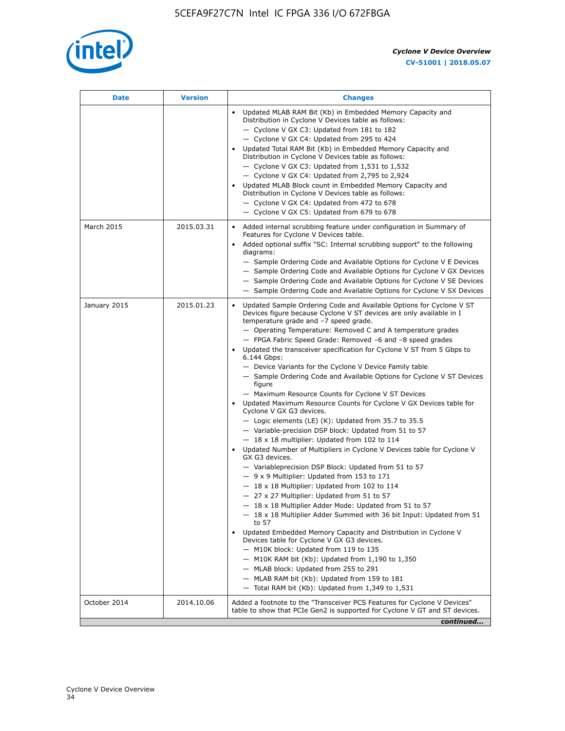

| <b>Date</b>  | <b>Version</b> | <b>Changes</b>                                                                                                                                                                                                                                                                                                                                                                                                                                                                                                                                                                                                                                                                                                                                                                                                                                                                                                                                                                                                                                                                                                                                                                                                                                                                                                                                                                                                                                                                                                                                                                                                                                                                                                |
|--------------|----------------|---------------------------------------------------------------------------------------------------------------------------------------------------------------------------------------------------------------------------------------------------------------------------------------------------------------------------------------------------------------------------------------------------------------------------------------------------------------------------------------------------------------------------------------------------------------------------------------------------------------------------------------------------------------------------------------------------------------------------------------------------------------------------------------------------------------------------------------------------------------------------------------------------------------------------------------------------------------------------------------------------------------------------------------------------------------------------------------------------------------------------------------------------------------------------------------------------------------------------------------------------------------------------------------------------------------------------------------------------------------------------------------------------------------------------------------------------------------------------------------------------------------------------------------------------------------------------------------------------------------------------------------------------------------------------------------------------------------|
|              |                | Updated MLAB RAM Bit (Kb) in Embedded Memory Capacity and<br>Distribution in Cyclone V Devices table as follows:<br>- Cyclone V GX C3: Updated from 181 to 182<br>- Cyclone V GX C4: Updated from 295 to 424<br>Updated Total RAM Bit (Kb) in Embedded Memory Capacity and<br>Distribution in Cyclone V Devices table as follows:<br>$-$ Cyclone V GX C3: Updated from 1,531 to 1,532<br>- Cyclone V GX C4: Updated from 2,795 to 2,924<br>Updated MLAB Block count in Embedded Memory Capacity and<br>Distribution in Cyclone V Devices table as follows:<br>- Cyclone V GX C4: Updated from 472 to 678<br>- Cyclone V GX C5: Updated from 679 to 678                                                                                                                                                                                                                                                                                                                                                                                                                                                                                                                                                                                                                                                                                                                                                                                                                                                                                                                                                                                                                                                        |
| March 2015   | 2015.03.31     | Added internal scrubbing feature under configuration in Summary of<br>$\bullet$<br>Features for Cyclone V Devices table.<br>Added optional suffix "SC: Internal scrubbing support" to the following<br>diagrams:<br>- Sample Ordering Code and Available Options for Cyclone V E Devices<br>- Sample Ordering Code and Available Options for Cyclone V GX Devices<br>- Sample Ordering Code and Available Options for Cyclone V SE Devices<br>- Sample Ordering Code and Available Options for Cyclone V SX Devices                                                                                                                                                                                                                                                                                                                                                                                                                                                                                                                                                                                                                                                                                                                                                                                                                                                                                                                                                                                                                                                                                                                                                                                           |
| January 2015 | 2015.01.23     | Updated Sample Ordering Code and Available Options for Cyclone V ST<br>Devices figure because Cyclone V ST devices are only available in I<br>temperature grade and -7 speed grade.<br>- Operating Temperature: Removed C and A temperature grades<br>- FPGA Fabric Speed Grade: Removed -6 and -8 speed grades<br>Updated the transceiver specification for Cyclone V ST from 5 Gbps to<br>6.144 Gbps:<br>- Device Variants for the Cyclone V Device Family table<br>- Sample Ordering Code and Available Options for Cyclone V ST Devices<br>figure<br>- Maximum Resource Counts for Cyclone V ST Devices<br>Updated Maximum Resource Counts for Cyclone V GX Devices table for<br>Cyclone V GX G3 devices.<br>$-$ Logic elements (LE) (K): Updated from 35.7 to 35.5<br>- Variable-precision DSP block: Updated from 51 to 57<br>$-18 \times 18$ multiplier: Updated from 102 to 114<br>Updated Number of Multipliers in Cyclone V Devices table for Cyclone V<br>GX G3 devices.<br>- Variableprecision DSP Block: Updated from 51 to 57<br>$-9x9$ Multiplier: Updated from 153 to 171<br>$-18 \times 18$ Multiplier: Updated from 102 to 114<br>- 27 x 27 Multiplier: Updated from 51 to 57<br>- 18 x 18 Multiplier Adder Mode: Updated from 51 to 57<br>$-18 \times 18$ Multiplier Adder Summed with 36 bit Input: Updated from 51<br>to 57<br>Updated Embedded Memory Capacity and Distribution in Cyclone V<br>Devices table for Cyclone V GX G3 devices.<br>- M10K block: Updated from 119 to 135<br>- M10K RAM bit (Kb): Updated from 1,190 to 1,350<br>- MLAB block: Updated from 255 to 291<br>- MLAB RAM bit (Kb): Updated from 159 to 181<br>$-$ Total RAM bit (Kb): Updated from 1,349 to 1,531 |
| October 2014 | 2014.10.06     | Added a footnote to the "Transceiver PCS Features for Cyclone V Devices"<br>table to show that PCIe Gen2 is supported for Cyclone V GT and ST devices.                                                                                                                                                                                                                                                                                                                                                                                                                                                                                                                                                                                                                                                                                                                                                                                                                                                                                                                                                                                                                                                                                                                                                                                                                                                                                                                                                                                                                                                                                                                                                        |
|              |                | continued                                                                                                                                                                                                                                                                                                                                                                                                                                                                                                                                                                                                                                                                                                                                                                                                                                                                                                                                                                                                                                                                                                                                                                                                                                                                                                                                                                                                                                                                                                                                                                                                                                                                                                     |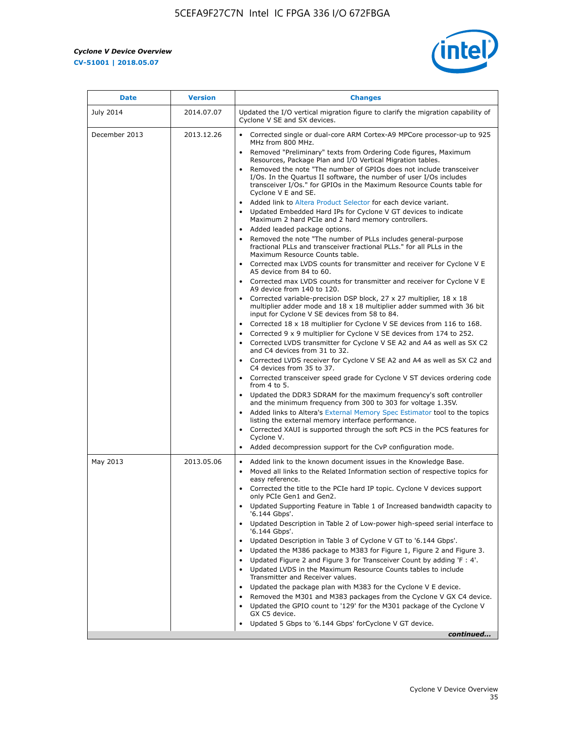r



| <b>Date</b>   | <b>Version</b> | <b>Changes</b>                                                                                                                                                                                                                                                                                                                                                                                                                                                                                                                                                                                                                                                                                                                                                                                                                                                                                                                                                                                                                                                                                                                                                                                                                                   |
|---------------|----------------|--------------------------------------------------------------------------------------------------------------------------------------------------------------------------------------------------------------------------------------------------------------------------------------------------------------------------------------------------------------------------------------------------------------------------------------------------------------------------------------------------------------------------------------------------------------------------------------------------------------------------------------------------------------------------------------------------------------------------------------------------------------------------------------------------------------------------------------------------------------------------------------------------------------------------------------------------------------------------------------------------------------------------------------------------------------------------------------------------------------------------------------------------------------------------------------------------------------------------------------------------|
| July 2014     | 2014.07.07     | Updated the I/O vertical migration figure to clarify the migration capability of<br>Cyclone V SE and SX devices.                                                                                                                                                                                                                                                                                                                                                                                                                                                                                                                                                                                                                                                                                                                                                                                                                                                                                                                                                                                                                                                                                                                                 |
| December 2013 | 2013.12.26     | Corrected single or dual-core ARM Cortex-A9 MPCore processor-up to 925<br>MHz from 800 MHz.<br>Removed "Preliminary" texts from Ordering Code figures, Maximum<br>Resources, Package Plan and I/O Vertical Migration tables.<br>Removed the note "The number of GPIOs does not include transceiver<br>I/Os. In the Quartus II software, the number of user I/Os includes<br>transceiver I/Os." for GPIOs in the Maximum Resource Counts table for<br>Cyclone V E and SE.<br>Added link to Altera Product Selector for each device variant.<br>Updated Embedded Hard IPs for Cyclone V GT devices to indicate<br>Maximum 2 hard PCIe and 2 hard memory controllers.<br>• Added leaded package options.<br>Removed the note "The number of PLLs includes general-purpose<br>fractional PLLs and transceiver fractional PLLs." for all PLLs in the<br>Maximum Resource Counts table.<br>• Corrected max LVDS counts for transmitter and receiver for Cyclone V E                                                                                                                                                                                                                                                                                    |
|               |                | A5 device from 84 to 60.<br>• Corrected max LVDS counts for transmitter and receiver for Cyclone V E<br>A9 device from 140 to 120.<br>Corrected variable-precision DSP block, 27 x 27 multiplier, 18 x 18<br>multiplier adder mode and 18 x 18 multiplier adder summed with 36 bit<br>input for Cyclone V SE devices from 58 to 84.<br>Corrected 18 x 18 multiplier for Cyclone V SE devices from 116 to 168.<br>Corrected 9 x 9 multiplier for Cyclone V SE devices from 174 to 252.<br>• Corrected LVDS transmitter for Cyclone V SE A2 and A4 as well as SX C2<br>and C4 devices from 31 to 32.<br>• Corrected LVDS receiver for Cyclone V SE A2 and A4 as well as SX C2 and<br>C4 devices from 35 to 37.<br>• Corrected transceiver speed grade for Cyclone V ST devices ordering code<br>from 4 to 5.<br>• Updated the DDR3 SDRAM for the maximum frequency's soft controller<br>and the minimum frequency from 300 to 303 for voltage 1.35V.<br>Added links to Altera's External Memory Spec Estimator tool to the topics<br>listing the external memory interface performance.<br>• Corrected XAUI is supported through the soft PCS in the PCS features for<br>Cyclone V.<br>Added decompression support for the CvP configuration mode. |
| May 2013      | 2013.05.06     | Added link to the known document issues in the Knowledge Base.<br>$\bullet$<br>Moved all links to the Related Information section of respective topics for<br>$\bullet$<br>easy reference.<br>• Corrected the title to the PCIe hard IP topic. Cyclone V devices support<br>only PCIe Gen1 and Gen2.<br>• Updated Supporting Feature in Table 1 of Increased bandwidth capacity to<br>'6.144 Gbps'.<br>Updated Description in Table 2 of Low-power high-speed serial interface to<br>'6.144 Gbps'.<br>Updated Description in Table 3 of Cyclone V GT to '6.144 Gbps'.<br>Updated the M386 package to M383 for Figure 1, Figure 2 and Figure 3.<br>$\bullet$<br>Updated Figure 2 and Figure 3 for Transceiver Count by adding 'F : 4'.<br>$\bullet$<br>Updated LVDS in the Maximum Resource Counts tables to include<br>Transmitter and Receiver values.<br>Updated the package plan with M383 for the Cyclone V E device.<br>Removed the M301 and M383 packages from the Cyclone V GX C4 device.<br>Updated the GPIO count to '129' for the M301 package of the Cyclone V<br>$\bullet$<br>GX C5 device.<br>Updated 5 Gbps to '6.144 Gbps' for Cyclone V GT device.<br>continued                                                                  |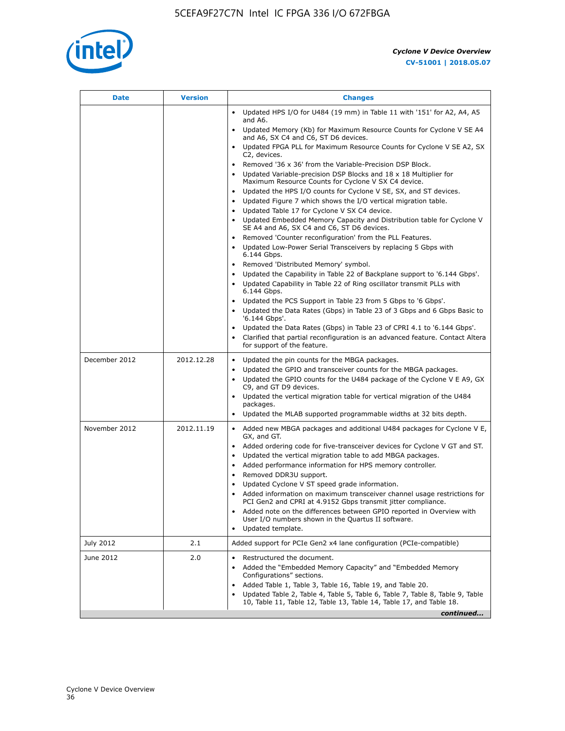

| Date          | <b>Version</b> | <b>Changes</b>                                                                                                                                      |
|---------------|----------------|-----------------------------------------------------------------------------------------------------------------------------------------------------|
|               |                | • Updated HPS I/O for U484 (19 mm) in Table 11 with '151' for A2, A4, A5<br>and A6.                                                                 |
|               |                | Updated Memory (Kb) for Maximum Resource Counts for Cyclone V SE A4<br>and A6, SX C4 and C6, ST D6 devices.                                         |
|               |                | Updated FPGA PLL for Maximum Resource Counts for Cyclone V SE A2, SX<br>C2, devices.                                                                |
|               |                | Removed '36 x 36' from the Variable-Precision DSP Block.                                                                                            |
|               |                | Updated Variable-precision DSP Blocks and 18 x 18 Multiplier for<br>Maximum Resource Counts for Cyclone V SX C4 device.                             |
|               |                | • Updated the HPS I/O counts for Cyclone V SE, SX, and ST devices.                                                                                  |
|               |                | Updated Figure 7 which shows the I/O vertical migration table.<br>Updated Table 17 for Cyclone V SX C4 device.                                      |
|               |                | Updated Embedded Memory Capacity and Distribution table for Cyclone V<br>$\bullet$                                                                  |
|               |                | SE A4 and A6, SX C4 and C6, ST D6 devices.                                                                                                          |
|               |                | Removed 'Counter reconfiguration' from the PLL Features.                                                                                            |
|               |                | Updated Low-Power Serial Transceivers by replacing 5 Gbps with<br>6.144 Gbps.                                                                       |
|               |                | Removed 'Distributed Memory' symbol.<br>$\bullet$                                                                                                   |
|               |                | Updated the Capability in Table 22 of Backplane support to '6.144 Gbps'.<br>• Updated Capability in Table 22 of Ring oscillator transmit PLLs with  |
|               |                | 6.144 Gbps.                                                                                                                                         |
|               |                | Updated the PCS Support in Table 23 from 5 Gbps to '6 Gbps'.                                                                                        |
|               |                | Updated the Data Rates (Gbps) in Table 23 of 3 Gbps and 6 Gbps Basic to<br>'6.144 Gbps'.                                                            |
|               |                | • Updated the Data Rates (Gbps) in Table 23 of CPRI 4.1 to '6.144 Gbps'.                                                                            |
|               |                | Clarified that partial reconfiguration is an advanced feature. Contact Altera<br>for support of the feature.                                        |
| December 2012 | 2012.12.28     | Updated the pin counts for the MBGA packages.<br>$\bullet$                                                                                          |
|               |                | Updated the GPIO and transceiver counts for the MBGA packages.<br>٠                                                                                 |
|               |                | Updated the GPIO counts for the U484 package of the Cyclone V E A9, GX<br>C9, and GT D9 devices.                                                    |
|               |                | • Updated the vertical migration table for vertical migration of the U484                                                                           |
|               |                | packages.                                                                                                                                           |
|               |                | Updated the MLAB supported programmable widths at 32 bits depth.                                                                                    |
| November 2012 | 2012.11.19     | • Added new MBGA packages and additional U484 packages for Cyclone V E,<br>GX, and GT.                                                              |
|               |                | • Added ordering code for five-transceiver devices for Cyclone V GT and ST.                                                                         |
|               |                | Updated the vertical migration table to add MBGA packages.                                                                                          |
|               |                | Added performance information for HPS memory controller.<br>$\bullet$                                                                               |
|               |                | Removed DDR3U support.<br>$\bullet$                                                                                                                 |
|               |                | Updated Cyclone V ST speed grade information.<br>Added information on maximum transceiver channel usage restrictions for                            |
|               |                | PCI Gen2 and CPRI at 4.9152 Gbps transmit jitter compliance.                                                                                        |
|               |                | Added note on the differences between GPIO reported in Overview with                                                                                |
|               |                | User I/O numbers shown in the Quartus II software.<br>Updated template.                                                                             |
| July 2012     | 2.1            | Added support for PCIe Gen2 x4 lane configuration (PCIe-compatible)                                                                                 |
| June 2012     | 2.0            | Restructured the document.                                                                                                                          |
|               |                | Added the "Embedded Memory Capacity" and "Embedded Memory<br>Configurations" sections.                                                              |
|               |                | Added Table 1, Table 3, Table 16, Table 19, and Table 20.                                                                                           |
|               |                | Updated Table 2, Table 4, Table 5, Table 6, Table 7, Table 8, Table 9, Table<br>10, Table 11, Table 12, Table 13, Table 14, Table 17, and Table 18. |
|               |                | continued                                                                                                                                           |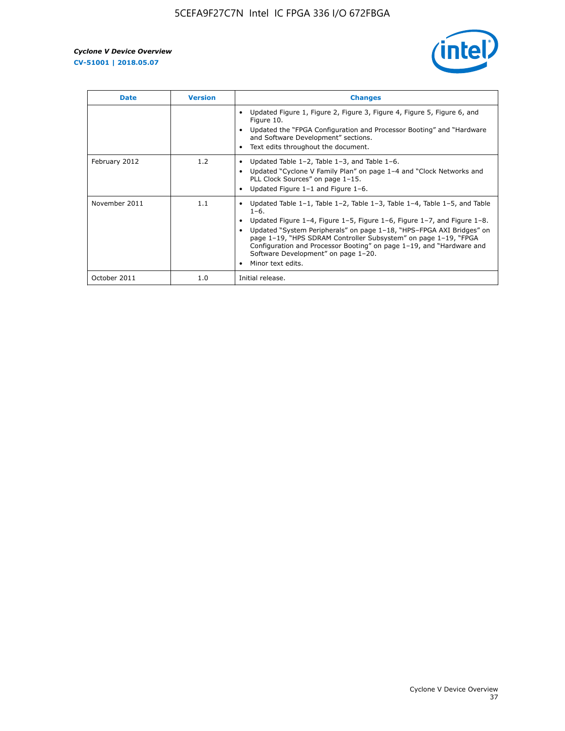

| <b>Date</b>   | <b>Version</b> | <b>Changes</b>                                                                                                                                                                                                                                                                                                                                                                                                                                                             |
|---------------|----------------|----------------------------------------------------------------------------------------------------------------------------------------------------------------------------------------------------------------------------------------------------------------------------------------------------------------------------------------------------------------------------------------------------------------------------------------------------------------------------|
|               |                | Updated Figure 1, Figure 2, Figure 3, Figure 4, Figure 5, Figure 6, and<br>Figure 10.<br>Updated the "FPGA Configuration and Processor Booting" and "Hardware<br>and Software Development" sections.<br>Text edits throughout the document.                                                                                                                                                                                                                                |
| February 2012 | 1.2            | Updated Table $1-2$ , Table $1-3$ , and Table $1-6$ .<br>Updated "Cyclone V Family Plan" on page 1-4 and "Clock Networks and<br>$\bullet$<br>PLL Clock Sources" on page 1-15.<br>Updated Figure $1-1$ and Figure $1-6$ .                                                                                                                                                                                                                                                   |
| November 2011 | 1.1            | Updated Table $1-1$ , Table $1-2$ , Table $1-3$ , Table $1-4$ , Table $1-5$ , and Table<br>$1 - 6.$<br>Updated Figure 1-4, Figure 1-5, Figure 1-6, Figure 1-7, and Figure 1-8.<br>Updated "System Peripherals" on page 1-18, "HPS-FPGA AXI Bridges" on<br>page 1-19, "HPS SDRAM Controller Subsystem" on page 1-19, "FPGA<br>Configuration and Processor Booting" on page 1-19, and "Hardware and<br>Software Development" on page 1-20.<br>Minor text edits.<br>$\bullet$ |
| October 2011  | 1.0            | Initial release.                                                                                                                                                                                                                                                                                                                                                                                                                                                           |